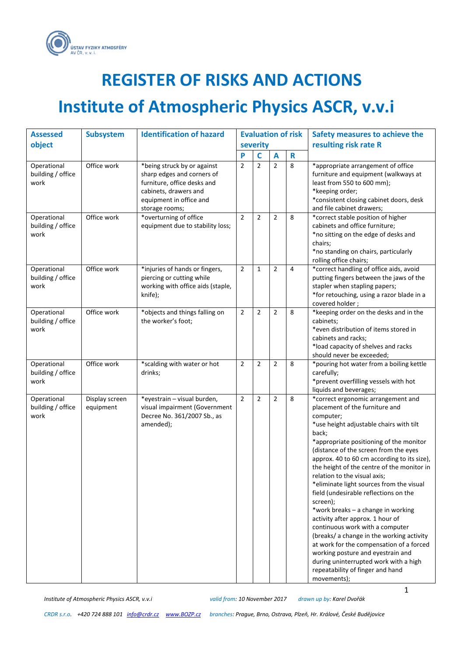

## **REGISTER OF RISKS AND ACTIONS**

# **Institute of Atmospheric Physics ASCR, v.v.i**

| <b>Assessed</b>                          | <b>Subsystem</b>            | <b>Identification of hazard</b>                                                                                   |                |                |                | <b>Evaluation of risk</b> | Safety measures to achieve the                                                                                                                                                                                                                                                                                                                                                                                                                                                                                                                                                                                                                                                                                                                                                                 |
|------------------------------------------|-----------------------------|-------------------------------------------------------------------------------------------------------------------|----------------|----------------|----------------|---------------------------|------------------------------------------------------------------------------------------------------------------------------------------------------------------------------------------------------------------------------------------------------------------------------------------------------------------------------------------------------------------------------------------------------------------------------------------------------------------------------------------------------------------------------------------------------------------------------------------------------------------------------------------------------------------------------------------------------------------------------------------------------------------------------------------------|
| object                                   |                             |                                                                                                                   |                | severity       |                |                           | resulting risk rate R                                                                                                                                                                                                                                                                                                                                                                                                                                                                                                                                                                                                                                                                                                                                                                          |
|                                          |                             |                                                                                                                   | P              | C              | A              | R                         |                                                                                                                                                                                                                                                                                                                                                                                                                                                                                                                                                                                                                                                                                                                                                                                                |
| Operational<br>building / office<br>work | Office work                 | *being struck by or against<br>sharp edges and corners of<br>furniture, office desks and<br>cabinets, drawers and | $\overline{2}$ | $\overline{2}$ | $\overline{2}$ | 8                         | *appropriate arrangement of office<br>furniture and equipment (walkways at<br>least from 550 to 600 mm);<br>*keeping order;                                                                                                                                                                                                                                                                                                                                                                                                                                                                                                                                                                                                                                                                    |
|                                          |                             | equipment in office and                                                                                           |                |                |                |                           | *consistent closing cabinet doors, desk                                                                                                                                                                                                                                                                                                                                                                                                                                                                                                                                                                                                                                                                                                                                                        |
|                                          |                             | storage rooms;                                                                                                    |                |                |                |                           | and file cabinet drawers;                                                                                                                                                                                                                                                                                                                                                                                                                                                                                                                                                                                                                                                                                                                                                                      |
| Operational<br>building / office<br>work | Office work                 | *overturning of office<br>equipment due to stability loss;                                                        | $\overline{2}$ | $\overline{2}$ | $\overline{2}$ | 8                         | *correct stable position of higher<br>cabinets and office furniture;<br>*no sitting on the edge of desks and<br>chairs;<br>*no standing on chairs, particularly<br>rolling office chairs;                                                                                                                                                                                                                                                                                                                                                                                                                                                                                                                                                                                                      |
| Operational<br>building / office<br>work | Office work                 | *injuries of hands or fingers,<br>piercing or cutting while<br>working with office aids (staple,<br>knife);       | $\overline{2}$ | 1              | $\overline{2}$ | 4                         | *correct handling of office aids, avoid<br>putting fingers between the jaws of the<br>stapler when stapling papers;<br>*for retouching, using a razor blade in a<br>covered holder;                                                                                                                                                                                                                                                                                                                                                                                                                                                                                                                                                                                                            |
| Operational<br>building / office<br>work | Office work                 | *objects and things falling on<br>the worker's foot;                                                              | $\overline{2}$ | $\overline{2}$ | $\overline{2}$ | 8                         | *keeping order on the desks and in the<br>cabinets;<br>*even distribution of items stored in<br>cabinets and racks;<br>*load capacity of shelves and racks<br>should never be exceeded;                                                                                                                                                                                                                                                                                                                                                                                                                                                                                                                                                                                                        |
| Operational<br>building / office<br>work | Office work                 | *scalding with water or hot<br>drinks;                                                                            | $\overline{2}$ | $\overline{2}$ | $\overline{2}$ | 8                         | *pouring hot water from a boiling kettle<br>carefully;<br>*prevent overfilling vessels with hot<br>liquids and beverages;                                                                                                                                                                                                                                                                                                                                                                                                                                                                                                                                                                                                                                                                      |
| Operational<br>building / office<br>work | Display screen<br>equipment | *eyestrain - visual burden,<br>visual impairment (Government<br>Decree No. 361/2007 Sb., as<br>amended);          | $\overline{2}$ | $\overline{2}$ | $\overline{2}$ | 8                         | *correct ergonomic arrangement and<br>placement of the furniture and<br>computer;<br>*use height adjustable chairs with tilt<br>back;<br>*appropriate positioning of the monitor<br>(distance of the screen from the eyes<br>approx. 40 to 60 cm according to its size),<br>the height of the centre of the monitor in<br>relation to the visual axis;<br>*eliminate light sources from the visual<br>field (undesirable reflections on the<br>screen);<br>*work breaks - a change in working<br>activity after approx. 1 hour of<br>continuous work with a computer<br>(breaks/ a change in the working activity<br>at work for the compensation of a forced<br>working posture and eyestrain and<br>during uninterrupted work with a high<br>repeatability of finger and hand<br>movements); |

*Institute of Atmospheric Physics ASCR, v.v.i valid from: 10 November 2017 drawn up by: Karel Dvořák*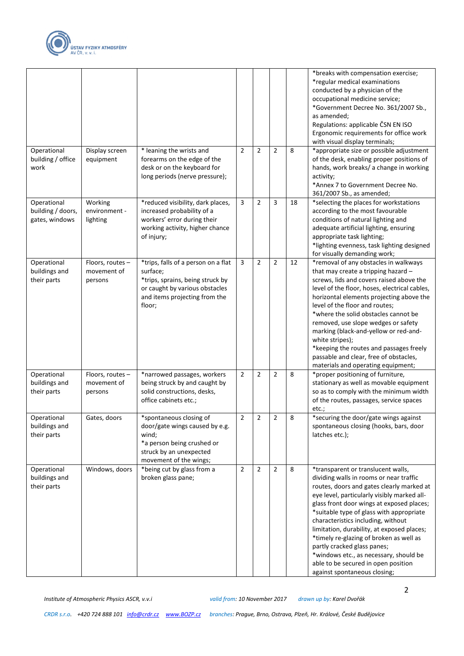

|                                                    |                                            |                                                                                                                                                                  |                |                             |                |    | *breaks with compensation exercise;<br>*regular medical examinations<br>conducted by a physician of the<br>occupational medicine service;<br>*Government Decree No. 361/2007 Sb.,<br>as amended;<br>Regulations: applicable ČSN EN ISO<br>Ergonomic requirements for office work<br>with visual display terminals;                                                                                                                                                                                                                                |
|----------------------------------------------------|--------------------------------------------|------------------------------------------------------------------------------------------------------------------------------------------------------------------|----------------|-----------------------------|----------------|----|---------------------------------------------------------------------------------------------------------------------------------------------------------------------------------------------------------------------------------------------------------------------------------------------------------------------------------------------------------------------------------------------------------------------------------------------------------------------------------------------------------------------------------------------------|
| Operational<br>building / office<br>work           | Display screen<br>equipment                | * leaning the wrists and<br>forearms on the edge of the<br>desk or on the keyboard for<br>long periods (nerve pressure);                                         | $\overline{2}$ | 2                           | $\overline{2}$ | 8  | *appropriate size or possible adjustment<br>of the desk, enabling proper positions of<br>hands, work breaks/ a change in working<br>activity;<br>*Annex 7 to Government Decree No.<br>361/2007 Sb., as amended;                                                                                                                                                                                                                                                                                                                                   |
| Operational<br>building / doors,<br>gates, windows | Working<br>environment -<br>lighting       | *reduced visibility, dark places,<br>increased probability of a<br>workers' error during their<br>working activity, higher chance<br>of injury;                  | 3              | $\overline{2}$              | 3              | 18 | *selecting the places for workstations<br>according to the most favourable<br>conditions of natural lighting and<br>adequate artificial lighting, ensuring<br>appropriate task lighting;<br>*lighting evenness, task lighting designed<br>for visually demanding work;                                                                                                                                                                                                                                                                            |
| Operational<br>buildings and<br>their parts        | Floors, routes-<br>movement of<br>persons  | *trips, falls of a person on a flat<br>surface;<br>*trips, sprains, being struck by<br>or caught by various obstacles<br>and items projecting from the<br>floor; | 3              | $\overline{2}$              | $\overline{2}$ | 12 | *removal of any obstacles in walkways<br>that may create a tripping hazard -<br>screws, lids and covers raised above the<br>level of the floor, hoses, electrical cables,<br>horizontal elements projecting above the<br>level of the floor and routes;<br>*where the solid obstacles cannot be<br>removed, use slope wedges or safety<br>marking (black-and-yellow or red-and-<br>white stripes);<br>*keeping the routes and passages freely<br>passable and clear, free of obstacles,<br>materials and operating equipment;                     |
| Operational<br>buildings and<br>their parts        | Floors, routes -<br>movement of<br>persons | *narrowed passages, workers<br>being struck by and caught by<br>solid constructions, desks,<br>office cabinets etc.;                                             | $\overline{2}$ | 2                           | $\overline{2}$ | 8  | *proper positioning of furniture,<br>stationary as well as movable equipment<br>so as to comply with the minimum width<br>of the routes, passages, service spaces<br>etc.;                                                                                                                                                                                                                                                                                                                                                                        |
| Operational<br>buildings and<br>their parts        | Gates, doors                               | *spontaneous closing of<br>door/gate wings caused by e.g.<br>wind;<br>*a person being crushed or<br>struck by an unexpected<br>movement of the wings;            | 2              | $\mathcal{L}_{\mathcal{L}}$ | z              | ୪  | *securing the door/gate wings against<br>spontaneous closing (hooks, bars, door<br>latches etc.);                                                                                                                                                                                                                                                                                                                                                                                                                                                 |
| Operational<br>buildings and<br>their parts        | Windows, doors                             | *being cut by glass from a<br>broken glass pane;                                                                                                                 | $\overline{2}$ | $\overline{2}$              | $\overline{2}$ | 8  | *transparent or translucent walls,<br>dividing walls in rooms or near traffic<br>routes, doors and gates clearly marked at<br>eye level, particularly visibly marked all-<br>glass front door wings at exposed places;<br>*suitable type of glass with appropriate<br>characteristics including, without<br>limitation, durability, at exposed places;<br>*timely re-glazing of broken as well as<br>partly cracked glass panes;<br>*windows etc., as necessary, should be<br>able to be secured in open position<br>against spontaneous closing; |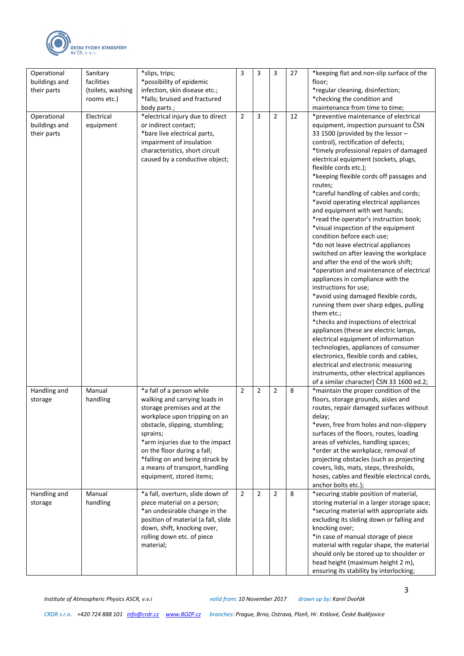

| Operational<br>buildings and<br>their parts | Sanitary<br>facilities<br>(toilets, washing<br>rooms etc.) | *slips, trips;<br>*possibility of epidemic<br>infection, skin disease etc.;<br>*falls; bruised and fractured                                                                                                                                                                                                                                | 3              | 3 | 3 | 27 | *keeping flat and non-slip surface of the<br>floor;<br>*regular cleaning, disinfection;<br>*checking the condition and<br>maintenance from time to time;                                                                                                                                                                                                                                                                                                                                                                                                                                                                                                                                                                                                                                                                                                                                                                                                                                                                                                                                                                                                                                                                                           |
|---------------------------------------------|------------------------------------------------------------|---------------------------------------------------------------------------------------------------------------------------------------------------------------------------------------------------------------------------------------------------------------------------------------------------------------------------------------------|----------------|---|---|----|----------------------------------------------------------------------------------------------------------------------------------------------------------------------------------------------------------------------------------------------------------------------------------------------------------------------------------------------------------------------------------------------------------------------------------------------------------------------------------------------------------------------------------------------------------------------------------------------------------------------------------------------------------------------------------------------------------------------------------------------------------------------------------------------------------------------------------------------------------------------------------------------------------------------------------------------------------------------------------------------------------------------------------------------------------------------------------------------------------------------------------------------------------------------------------------------------------------------------------------------------|
| Operational<br>buildings and<br>their parts | Electrical<br>equipment                                    | body parts;<br>*electrical injury due to direct<br>or indirect contact;<br>*bare live electrical parts,<br>impairment of insulation<br>characteristics, short circuit<br>caused by a conductive object;                                                                                                                                     | $\overline{2}$ | 3 | 2 | 12 | *preventive maintenance of electrical<br>equipment, inspection pursuant to CSN<br>33 1500 (provided by the lessor -<br>control), rectification of defects;<br>*timely professional repairs of damaged<br>electrical equipment (sockets, plugs,<br>flexible cords etc.);<br>*keeping flexible cords off passages and<br>routes;<br>*careful handling of cables and cords;<br>*avoid operating electrical appliances<br>and equipment with wet hands;<br>*read the operator's instruction book;<br>*visual inspection of the equipment<br>condition before each use;<br>*do not leave electrical appliances<br>switched on after leaving the workplace<br>and after the end of the work shift;<br>*operation and maintenance of electrical<br>appliances in compliance with the<br>instructions for use;<br>*avoid using damaged flexible cords,<br>running them over sharp edges, pulling<br>them etc.;<br>*checks and inspections of electrical<br>appliances (these are electric lamps,<br>electrical equipment of information<br>technologies, appliances of consumer<br>electronics, flexible cords and cables,<br>electrical and electronic measuring<br>instruments, other electrical appliances<br>of a similar character) ČSN 33 1600 ed.2; |
| Handling and<br>storage                     | Manual<br>handling                                         | *a fall of a person while<br>walking and carrying loads in<br>storage premises and at the<br>workplace upon tripping on an<br>obstacle, slipping, stumbling;<br>sprains;<br>*arm injuries due to the impact<br>on the floor during a fall;<br>*falling on and being struck by<br>a means of transport, handling<br>equipment, stored items; | $\overline{2}$ | 2 | 2 | 8  | *maintain the proper condition of the<br>floors, storage grounds, aisles and<br>routes, repair damaged surfaces without<br>delay;<br>*even, free from holes and non-slippery<br>surfaces of the floors, routes, loading<br>areas of vehicles, handling spaces;<br>*order at the workplace, removal of<br>projecting obstacles (such as projecting<br>covers, lids, mats, steps, thresholds,<br>hoses, cables and flexible electrical cords,<br>anchor bolts etc.);                                                                                                                                                                                                                                                                                                                                                                                                                                                                                                                                                                                                                                                                                                                                                                                 |
| Handling and<br>storage                     | Manual<br>handling                                         | *a fall, overturn, slide down of<br>piece material on a person;<br>*an undesirable change in the<br>position of material (a fall, slide<br>down, shift, knocking over,<br>rolling down etc. of piece<br>material;                                                                                                                           | $\overline{2}$ | 2 | 2 | 8  | *securing stable position of material,<br>storing material in a larger storage space;<br>*securing material with appropriate aids<br>excluding its sliding down or falling and<br>knocking over;<br>*in case of manual storage of piece<br>material with regular shape, the material<br>should only be stored up to shoulder or<br>head height (maximum height 2 m),<br>ensuring its stability by interlocking;                                                                                                                                                                                                                                                                                                                                                                                                                                                                                                                                                                                                                                                                                                                                                                                                                                    |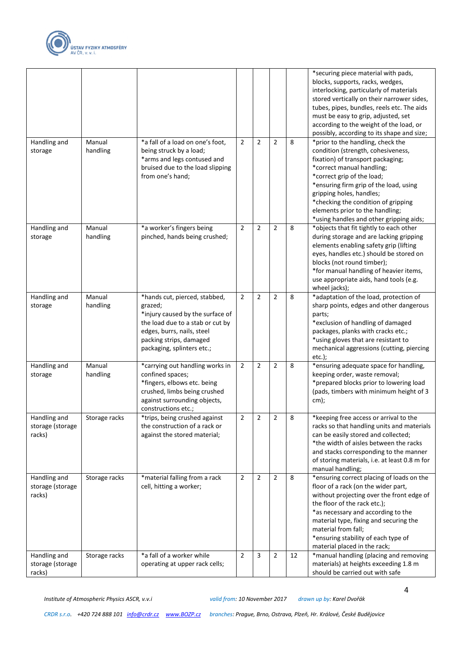

|                                            |                    |                                                                                                                                                                                                         |                |                |                |    | *securing piece material with pads,<br>blocks, supports, racks, wedges,<br>interlocking, particularly of materials<br>stored vertically on their narrower sides,<br>tubes, pipes, bundles, reels etc. The aids<br>must be easy to grip, adjusted, set<br>according to the weight of the load, or<br>possibly, according to its shape and size;                     |
|--------------------------------------------|--------------------|---------------------------------------------------------------------------------------------------------------------------------------------------------------------------------------------------------|----------------|----------------|----------------|----|--------------------------------------------------------------------------------------------------------------------------------------------------------------------------------------------------------------------------------------------------------------------------------------------------------------------------------------------------------------------|
| Handling and<br>storage                    | Manual<br>handling | *a fall of a load on one's foot,<br>being struck by a load;<br>*arms and legs contused and<br>bruised due to the load slipping<br>from one's hand;                                                      | 2              | $\overline{2}$ | 2              | 8  | *prior to the handling, check the<br>condition (strength, cohesiveness,<br>fixation) of transport packaging;<br>*correct manual handling;<br>*correct grip of the load;<br>*ensuring firm grip of the load, using<br>gripping holes, handles;<br>*checking the condition of gripping<br>elements prior to the handling;<br>*using handles and other gripping aids; |
| Handling and<br>storage                    | Manual<br>handling | *a worker's fingers being<br>pinched, hands being crushed;                                                                                                                                              | $\overline{2}$ | 2              | 2              | 8  | *objects that fit tightly to each other<br>during storage and are lacking gripping<br>elements enabling safety grip (lifting<br>eyes, handles etc.) should be stored on<br>blocks (not round timber);<br>*for manual handling of heavier items,<br>use appropriate aids, hand tools (e.g.<br>wheel jacks);                                                         |
| Handling and<br>storage                    | Manual<br>handling | *hands cut, pierced, stabbed,<br>grazed;<br>*injury caused by the surface of<br>the load due to a stab or cut by<br>edges, burrs, nails, steel<br>packing strips, damaged<br>packaging, splinters etc.; | $\overline{2}$ | $\overline{2}$ | 2              | 8  | *adaptation of the load, protection of<br>sharp points, edges and other dangerous<br>parts;<br>*exclusion of handling of damaged<br>packages, planks with cracks etc.;<br>*using gloves that are resistant to<br>mechanical aggressions (cutting, piercing<br>$etc.$ );                                                                                            |
| Handling and<br>storage                    | Manual<br>handling | *carrying out handling works in<br>confined spaces;<br>*fingers, elbows etc. being<br>crushed, limbs being crushed<br>against surrounding objects,<br>constructions etc.;                               | 2              | 2              | 2              | 8  | *ensuring adequate space for handling,<br>keeping order, waste removal;<br>*prepared blocks prior to lowering load<br>(pads, timbers with minimum height of 3<br>$cm)$ ;                                                                                                                                                                                           |
| Handling and<br>storage (storage<br>racks) | Storage racks      | *trips, being crushed against<br>the construction of a rack or<br>against the stored material;                                                                                                          | $\mathbf 2$    | $\mathbf 2$    | 2              | 8  | *keeping free access or arrival to the<br>racks so that handling units and materials<br>can be easily stored and collected;<br>*the width of aisles between the racks<br>and stacks corresponding to the manner<br>of storing materials, i.e. at least 0.8 m for<br>manual handling;                                                                               |
| Handling and<br>storage (storage<br>racks) | Storage racks      | *material falling from a rack<br>cell, hitting a worker;                                                                                                                                                | 2              | $\overline{2}$ | 2              | 8  | *ensuring correct placing of loads on the<br>floor of a rack (on the wider part,<br>without projecting over the front edge of<br>the floor of the rack etc.);<br>*as necessary and according to the<br>material type, fixing and securing the<br>material from fall;<br>*ensuring stability of each type of<br>material placed in the rack;                        |
| Handling and<br>storage (storage<br>racks) | Storage racks      | *a fall of a worker while<br>operating at upper rack cells;                                                                                                                                             | 2              | 3              | $\overline{2}$ | 12 | *manual handling (placing and removing<br>materials) at heights exceeding 1.8 m<br>should be carried out with safe                                                                                                                                                                                                                                                 |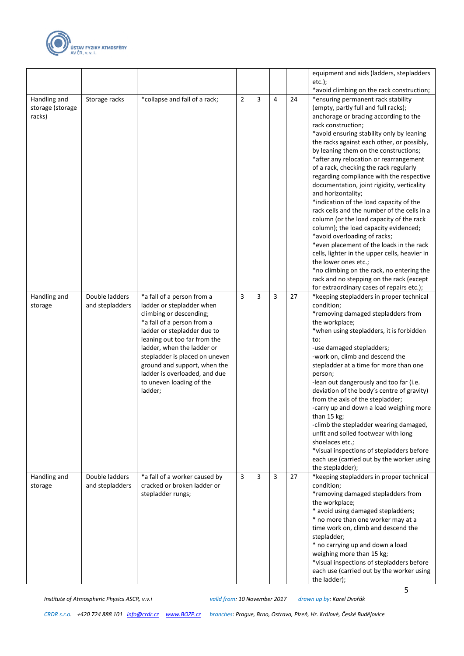

|                                            |                                   |                                                                                                                                                                                                                                                                                                                                                         |                |   |   |    | equipment and aids (ladders, stepladders<br>$etc.$ );<br>*avoid climbing on the rack construction;                                                                                                                                                                                                                                                                                                                                                                                                                                                                                                                                                                                                                                                                                                                                                                                                                                                          |
|--------------------------------------------|-----------------------------------|---------------------------------------------------------------------------------------------------------------------------------------------------------------------------------------------------------------------------------------------------------------------------------------------------------------------------------------------------------|----------------|---|---|----|-------------------------------------------------------------------------------------------------------------------------------------------------------------------------------------------------------------------------------------------------------------------------------------------------------------------------------------------------------------------------------------------------------------------------------------------------------------------------------------------------------------------------------------------------------------------------------------------------------------------------------------------------------------------------------------------------------------------------------------------------------------------------------------------------------------------------------------------------------------------------------------------------------------------------------------------------------------|
| Handling and<br>storage (storage<br>racks) | Storage racks                     | *collapse and fall of a rack;                                                                                                                                                                                                                                                                                                                           | $\overline{2}$ | 3 | 4 | 24 | *ensuring permanent rack stability<br>(empty, partly full and full racks);<br>anchorage or bracing according to the<br>rack construction;<br>*avoid ensuring stability only by leaning<br>the racks against each other, or possibly,<br>by leaning them on the constructions;<br>*after any relocation or rearrangement<br>of a rack, checking the rack regularly<br>regarding compliance with the respective<br>documentation, joint rigidity, verticality<br>and horizontality;<br>*indication of the load capacity of the<br>rack cells and the number of the cells in a<br>column (or the load capacity of the rack<br>column); the load capacity evidenced;<br>*avoid overloading of racks;<br>*even placement of the loads in the rack<br>cells, lighter in the upper cells, heavier in<br>the lower ones etc.;<br>*no climbing on the rack, no entering the<br>rack and no stepping on the rack (except<br>for extraordinary cases of repairs etc.); |
| Handling and<br>storage                    | Double ladders<br>and stepladders | *a fall of a person from a<br>ladder or stepladder when<br>climbing or descending;<br>*a fall of a person from a<br>ladder or stepladder due to<br>leaning out too far from the<br>ladder, when the ladder or<br>stepladder is placed on uneven<br>ground and support, when the<br>ladder is overloaded, and due<br>to uneven loading of the<br>ladder; | 3              | 3 | 3 | 27 | *keeping stepladders in proper technical<br>condition;<br>*removing damaged stepladders from<br>the workplace;<br>*when using stepladders, it is forbidden<br>to:<br>-use damaged stepladders;<br>-work on, climb and descend the<br>stepladder at a time for more than one<br>person;<br>-lean out dangerously and too far (i.e.<br>deviation of the body's centre of gravity)<br>from the axis of the stepladder;<br>-carry up and down a load weighing more<br>than $15$ kg;<br>-climb the stepladder wearing damaged,<br>unfit and soiled footwear with long<br>shoelaces etc.;<br>*visual inspections of stepladders before<br>each use (carried out by the worker using<br>the stepladder);                                                                                                                                                                                                                                                           |
| Handling and<br>storage                    | Double ladders<br>and stepladders | *a fall of a worker caused by<br>cracked or broken ladder or<br>stepladder rungs;                                                                                                                                                                                                                                                                       | 3              | 3 | 3 | 27 | *keeping stepladders in proper technical<br>condition;<br>*removing damaged stepladders from<br>the workplace;<br>* avoid using damaged stepladders;<br>* no more than one worker may at a<br>time work on, climb and descend the<br>stepladder;<br>* no carrying up and down a load<br>weighing more than 15 kg;<br>*visual inspections of stepladders before<br>each use (carried out by the worker using<br>the ladder);                                                                                                                                                                                                                                                                                                                                                                                                                                                                                                                                 |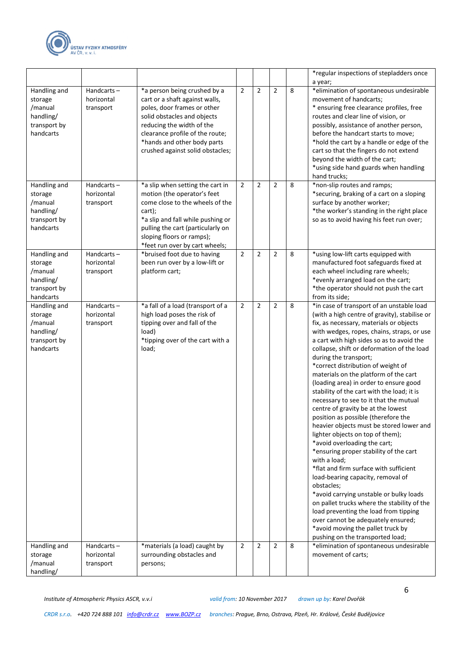

|                                                                              |                                          |                                                                                                                                                                                                                                                                 |                |                |                |   | *regular inspections of stepladders once<br>a year;                                                                                                                                                                                                                                                                                                                                                                                                                                                                                                                                                                                                                                                                                                                                                                                                                                                                                                                                                                                                                                                                            |
|------------------------------------------------------------------------------|------------------------------------------|-----------------------------------------------------------------------------------------------------------------------------------------------------------------------------------------------------------------------------------------------------------------|----------------|----------------|----------------|---|--------------------------------------------------------------------------------------------------------------------------------------------------------------------------------------------------------------------------------------------------------------------------------------------------------------------------------------------------------------------------------------------------------------------------------------------------------------------------------------------------------------------------------------------------------------------------------------------------------------------------------------------------------------------------------------------------------------------------------------------------------------------------------------------------------------------------------------------------------------------------------------------------------------------------------------------------------------------------------------------------------------------------------------------------------------------------------------------------------------------------------|
| Handling and<br>storage<br>/manual<br>handling/<br>transport by<br>handcarts | Handcarts $-$<br>horizontal<br>transport | *a person being crushed by a<br>cart or a shaft against walls,<br>poles, door frames or other<br>solid obstacles and objects<br>reducing the width of the<br>clearance profile of the route;<br>*hands and other body parts<br>crushed against solid obstacles; | $\overline{2}$ | $\overline{2}$ | $\overline{2}$ | 8 | *elimination of spontaneous undesirable<br>movement of handcarts;<br>* ensuring free clearance profiles, free<br>routes and clear line of vision, or<br>possibly, assistance of another person,<br>before the handcart starts to move;<br>*hold the cart by a handle or edge of the<br>cart so that the fingers do not extend<br>beyond the width of the cart;<br>*using side hand guards when handling<br>hand trucks;                                                                                                                                                                                                                                                                                                                                                                                                                                                                                                                                                                                                                                                                                                        |
| Handling and<br>storage<br>/manual<br>handling/<br>transport by<br>handcarts | Handcarts $-$<br>horizontal<br>transport | *a slip when setting the cart in<br>motion (the operator's feet<br>come close to the wheels of the<br>cart);<br>*a slip and fall while pushing or<br>pulling the cart (particularly on<br>sloping floors or ramps);<br>*feet run over by cart wheels;           | $\overline{2}$ | $\overline{2}$ | $\overline{2}$ | 8 | *non-slip routes and ramps;<br>*securing, braking of a cart on a sloping<br>surface by another worker;<br>*the worker's standing in the right place<br>so as to avoid having his feet run over;                                                                                                                                                                                                                                                                                                                                                                                                                                                                                                                                                                                                                                                                                                                                                                                                                                                                                                                                |
| Handling and<br>storage<br>/manual<br>handling/<br>transport by<br>handcarts | Handcarts $-$<br>horizontal<br>transport | *bruised foot due to having<br>been run over by a low-lift or<br>platform cart;                                                                                                                                                                                 | $\overline{2}$ | 2              | 2              | 8 | *using low-lift carts equipped with<br>manufactured foot safeguards fixed at<br>each wheel including rare wheels;<br>*evenly arranged load on the cart;<br>*the operator should not push the cart<br>from its side;                                                                                                                                                                                                                                                                                                                                                                                                                                                                                                                                                                                                                                                                                                                                                                                                                                                                                                            |
| Handling and<br>storage<br>/manual<br>handling/<br>transport by<br>handcarts | Handcarts-<br>horizontal<br>transport    | *a fall of a load (transport of a<br>high load poses the risk of<br>tipping over and fall of the<br>load)<br>*tipping over of the cart with a<br>load;                                                                                                          | $\overline{2}$ | 2              | $\overline{2}$ | 8 | *in case of transport of an unstable load<br>(with a high centre of gravity), stabilise or<br>fix, as necessary, materials or objects<br>with wedges, ropes, chains, straps, or use<br>a cart with high sides so as to avoid the<br>collapse, shift or deformation of the load<br>during the transport;<br>*correct distribution of weight of<br>materials on the platform of the cart<br>(loading area) in order to ensure good<br>stability of the cart with the load; it is<br>necessary to see to it that the mutual<br>centre of gravity be at the lowest<br>position as possible (therefore the<br>heavier objects must be stored lower and<br>lighter objects on top of them);<br>*avoid overloading the cart;<br>*ensuring proper stability of the cart<br>with a load;<br>*flat and firm surface with sufficient<br>load-bearing capacity, removal of<br>obstacles;<br>*avoid carrying unstable or bulky loads<br>on pallet trucks where the stability of the<br>load preventing the load from tipping<br>over cannot be adequately ensured;<br>*avoid moving the pallet truck by<br>pushing on the transported load; |
| Handling and<br>storage<br>/manual<br>handling/                              | Handcarts $-$<br>horizontal<br>transport | *materials (a load) caught by<br>surrounding obstacles and<br>persons;                                                                                                                                                                                          | $\overline{2}$ | $\overline{2}$ | $\overline{2}$ | 8 | *elimination of spontaneous undesirable<br>movement of carts;                                                                                                                                                                                                                                                                                                                                                                                                                                                                                                                                                                                                                                                                                                                                                                                                                                                                                                                                                                                                                                                                  |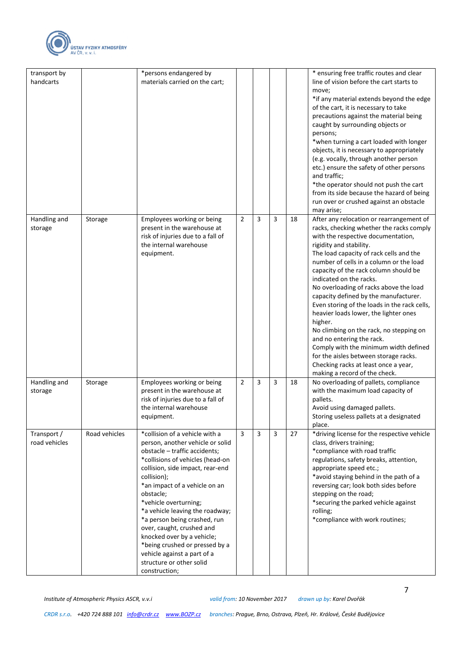

| transport by                 |               | *persons endangered by                                                                                                                                                                                                                                                                                                                                                                                                                                                                                        |   |   |   |    | * ensuring free traffic routes and clear                                                                                                                                                                                                                                                                                                                                                                                                                                                                                                                                                                                                                                                                                                  |
|------------------------------|---------------|---------------------------------------------------------------------------------------------------------------------------------------------------------------------------------------------------------------------------------------------------------------------------------------------------------------------------------------------------------------------------------------------------------------------------------------------------------------------------------------------------------------|---|---|---|----|-------------------------------------------------------------------------------------------------------------------------------------------------------------------------------------------------------------------------------------------------------------------------------------------------------------------------------------------------------------------------------------------------------------------------------------------------------------------------------------------------------------------------------------------------------------------------------------------------------------------------------------------------------------------------------------------------------------------------------------------|
| handcarts                    |               | materials carried on the cart;                                                                                                                                                                                                                                                                                                                                                                                                                                                                                |   |   |   |    | line of vision before the cart starts to<br>move;<br>*if any material extends beyond the edge<br>of the cart, it is necessary to take<br>precautions against the material being<br>caught by surrounding objects or<br>persons;<br>*when turning a cart loaded with longer<br>objects, it is necessary to appropriately<br>(e.g. vocally, through another person<br>etc.) ensure the safety of other persons<br>and traffic;<br>*the operator should not push the cart<br>from its side because the hazard of being<br>run over or crushed against an obstacle<br>may arise;                                                                                                                                                              |
| Handling and<br>storage      | Storage       | Employees working or being<br>present in the warehouse at<br>risk of injuries due to a fall of<br>the internal warehouse<br>equipment.                                                                                                                                                                                                                                                                                                                                                                        | 2 | 3 | 3 | 18 | After any relocation or rearrangement of<br>racks, checking whether the racks comply<br>with the respective documentation,<br>rigidity and stability.<br>The load capacity of rack cells and the<br>number of cells in a column or the load<br>capacity of the rack column should be<br>indicated on the racks.<br>No overloading of racks above the load<br>capacity defined by the manufacturer.<br>Even storing of the loads in the rack cells,<br>heavier loads lower, the lighter ones<br>higher.<br>No climbing on the rack, no stepping on<br>and no entering the rack.<br>Comply with the minimum width defined<br>for the aisles between storage racks.<br>Checking racks at least once a year,<br>making a record of the check. |
| Handling and<br>storage      | Storage       | Employees working or being<br>present in the warehouse at<br>risk of injuries due to a fall of<br>the internal warehouse<br>equipment.                                                                                                                                                                                                                                                                                                                                                                        | 2 | 3 | 3 | 18 | No overloading of pallets, compliance<br>with the maximum load capacity of<br>pallets.<br>Avoid using damaged pallets.<br>Storing useless pallets at a designated<br>place.                                                                                                                                                                                                                                                                                                                                                                                                                                                                                                                                                               |
| Transport /<br>road vehicles | Road vehicles | *collision of a vehicle with a<br>person, another vehicle or solid<br>obstacle - traffic accidents;<br>*collisions of vehicles (head-on<br>collision, side impact, rear-end<br>collision);<br>*an impact of a vehicle on an<br>obstacle;<br>*vehicle overturning;<br>*a vehicle leaving the roadway;<br>*a person being crashed, run<br>over, caught, crushed and<br>knocked over by a vehicle;<br>*being crushed or pressed by a<br>vehicle against a part of a<br>structure or other solid<br>construction; | 3 | 3 | 3 | 27 | *driving license for the respective vehicle<br>class, drivers training;<br>*compliance with road traffic<br>regulations, safety breaks, attention,<br>appropriate speed etc.;<br>*avoid staying behind in the path of a<br>reversing car; look both sides before<br>stepping on the road;<br>*securing the parked vehicle against<br>rolling;<br>*compliance with work routines;                                                                                                                                                                                                                                                                                                                                                          |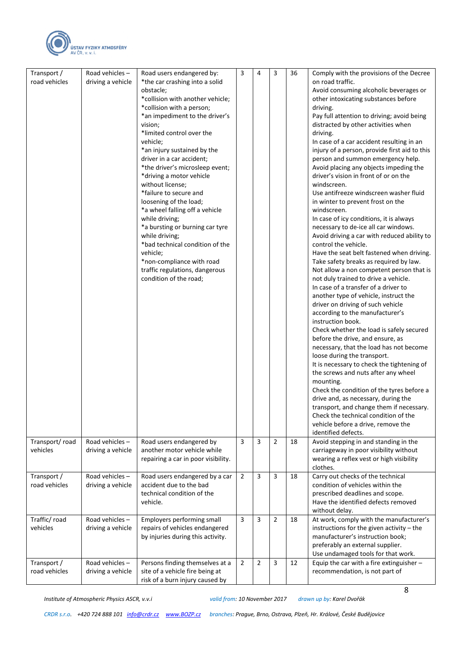

| Transport /              | Road vehicles-    | Road users endangered by:                                    | 3              | 4              | 3              | 36 | Comply with the provisions of the Decree                                             |
|--------------------------|-------------------|--------------------------------------------------------------|----------------|----------------|----------------|----|--------------------------------------------------------------------------------------|
| road vehicles            | driving a vehicle | *the car crashing into a solid                               |                |                |                |    | on road traffic.                                                                     |
|                          |                   | obstacle;                                                    |                |                |                |    | Avoid consuming alcoholic beverages or                                               |
|                          |                   | *collision with another vehicle;                             |                |                |                |    | other intoxicating substances before                                                 |
|                          |                   | *collision with a person;                                    |                |                |                |    | driving.                                                                             |
|                          |                   | *an impediment to the driver's                               |                |                |                |    | Pay full attention to driving; avoid being                                           |
|                          |                   | vision;                                                      |                |                |                |    | distracted by other activities when                                                  |
|                          |                   | *limited control over the                                    |                |                |                |    | driving.                                                                             |
|                          |                   | vehicle;                                                     |                |                |                |    | In case of a car accident resulting in an                                            |
|                          |                   | *an injury sustained by the                                  |                |                |                |    | injury of a person, provide first aid to this                                        |
|                          |                   | driver in a car accident;                                    |                |                |                |    | person and summon emergency help.                                                    |
|                          |                   | *the driver's microsleep event;                              |                |                |                |    | Avoid placing any objects impeding the                                               |
|                          |                   | *driving a motor vehicle                                     |                |                |                |    | driver's vision in front of or on the                                                |
|                          |                   | without license;                                             |                |                |                |    | windscreen.                                                                          |
|                          |                   | *failure to secure and                                       |                |                |                |    | Use antifreeze windscreen washer fluid                                               |
|                          |                   | loosening of the load;                                       |                |                |                |    | in winter to prevent frost on the                                                    |
|                          |                   | *a wheel falling off a vehicle                               |                |                |                |    | windscreen.                                                                          |
|                          |                   | while driving;                                               |                |                |                |    | In case of icy conditions, it is always                                              |
|                          |                   | *a bursting or burning car tyre                              |                |                |                |    | necessary to de-ice all car windows.                                                 |
|                          |                   | while driving;                                               |                |                |                |    | Avoid driving a car with reduced ability to                                          |
|                          |                   | *bad technical condition of the<br>vehicle;                  |                |                |                |    | control the vehicle.<br>Have the seat belt fastened when driving.                    |
|                          |                   | *non-compliance with road                                    |                |                |                |    |                                                                                      |
|                          |                   | traffic regulations, dangerous                               |                |                |                |    | Take safety breaks as required by law.<br>Not allow a non competent person that is   |
|                          |                   | condition of the road;                                       |                |                |                |    | not duly trained to drive a vehicle.                                                 |
|                          |                   |                                                              |                |                |                |    | In case of a transfer of a driver to                                                 |
|                          |                   |                                                              |                |                |                |    | another type of vehicle, instruct the                                                |
|                          |                   |                                                              |                |                |                |    | driver on driving of such vehicle                                                    |
|                          |                   |                                                              |                |                |                |    | according to the manufacturer's                                                      |
|                          |                   |                                                              |                |                |                |    | instruction book.                                                                    |
|                          |                   |                                                              |                |                |                |    | Check whether the load is safely secured                                             |
|                          |                   |                                                              |                |                |                |    | before the drive, and ensure, as                                                     |
|                          |                   |                                                              |                |                |                |    | necessary, that the load has not become                                              |
|                          |                   |                                                              |                |                |                |    | loose during the transport.                                                          |
|                          |                   |                                                              |                |                |                |    | It is necessary to check the tightening of                                           |
|                          |                   |                                                              |                |                |                |    | the screws and nuts after any wheel                                                  |
|                          |                   |                                                              |                |                |                |    | mounting.                                                                            |
|                          |                   |                                                              |                |                |                |    | Check the condition of the tyres before a                                            |
|                          |                   |                                                              |                |                |                |    | drive and, as necessary, during the                                                  |
|                          |                   |                                                              |                |                |                |    | transport, and change them if necessary.                                             |
|                          |                   |                                                              |                |                |                |    | Check the technical condition of the                                                 |
|                          |                   |                                                              |                |                |                |    | vehicle before a drive, remove the                                                   |
|                          |                   |                                                              |                |                |                |    | identified defects.                                                                  |
| Transport/road           | Road vehicles-    | Road users endangered by                                     | 3              | 3              | $\overline{2}$ | 18 | Avoid stepping in and standing in the                                                |
| vehicles                 | driving a vehicle | another motor vehicle while                                  |                |                |                |    | carriageway in poor visibility without                                               |
|                          |                   | repairing a car in poor visibility.                          |                |                |                |    | wearing a reflex vest or high visibility                                             |
|                          |                   |                                                              |                |                |                |    | clothes.                                                                             |
| Transport /              | Road vehicles-    | Road users endangered by a car                               | 2              | 3              | 3              | 18 | Carry out checks of the technical                                                    |
| road vehicles            | driving a vehicle | accident due to the bad                                      |                |                |                |    | condition of vehicles within the                                                     |
|                          |                   | technical condition of the                                   |                |                |                |    | prescribed deadlines and scope.                                                      |
|                          |                   | vehicle.                                                     |                |                |                |    | Have the identified defects removed                                                  |
|                          |                   |                                                              |                |                |                |    | without delay.                                                                       |
| Traffic/road<br>vehicles | Road vehicles-    | Employers performing small<br>repairs of vehicles endangered | 3              | 3              | $\overline{2}$ | 18 | At work, comply with the manufacturer's<br>instructions for the given activity - the |
|                          | driving a vehicle | by injuries during this activity.                            |                |                |                |    | manufacturer's instruction book;                                                     |
|                          |                   |                                                              |                |                |                |    | preferably an external supplier.                                                     |
|                          |                   |                                                              |                |                |                |    | Use undamaged tools for that work.                                                   |
| Transport /              | Road vehicles-    | Persons finding themselves at a                              | $\overline{2}$ | $\overline{2}$ | 3              | 12 | Equip the car with a fire extinguisher -                                             |
| road vehicles            | driving a vehicle | site of a vehicle fire being at                              |                |                |                |    | recommendation, is not part of                                                       |
|                          |                   | risk of a burn injury caused by                              |                |                |                |    |                                                                                      |
|                          |                   |                                                              |                |                |                |    |                                                                                      |

8

*CRDR s.r.o. +420 724 888 101 [info@crdr.cz](mailto:info@crdr.cz) [www.BOZP.cz](http://www.bozp.cz/) branches: Prague, Brno, Ostrava, Plzeň, Hr. Králové, České Budějovice*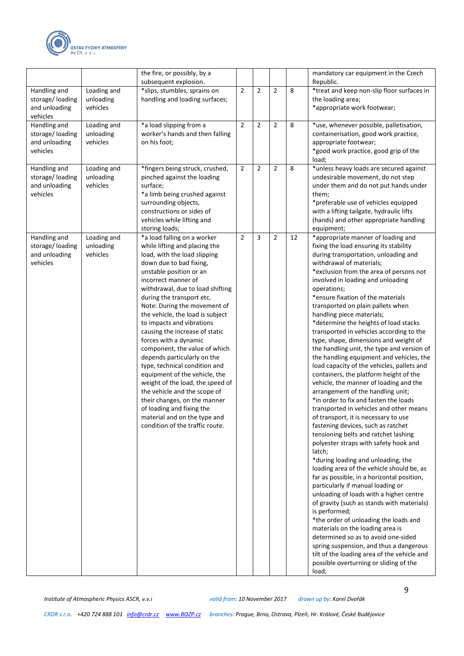

|                                                              |                                      | the fire, or possibly, by a<br>subsequent explosion.                                                                                                                                                                                                                                                                                                                                                                                                                                                                                                                                                                                                                                                                                         |                |                |                |    | mandatory car equipment in the Czech<br>Republic.                                                                                                                                                                                                                                                                                                                                                                                                                                                                                                                                                                                                                                                                                                                                                                                                                                                                                                                                                                                                                                                                                                                                                                                                                                                                                                                                                                                                                                                                                                                   |
|--------------------------------------------------------------|--------------------------------------|----------------------------------------------------------------------------------------------------------------------------------------------------------------------------------------------------------------------------------------------------------------------------------------------------------------------------------------------------------------------------------------------------------------------------------------------------------------------------------------------------------------------------------------------------------------------------------------------------------------------------------------------------------------------------------------------------------------------------------------------|----------------|----------------|----------------|----|---------------------------------------------------------------------------------------------------------------------------------------------------------------------------------------------------------------------------------------------------------------------------------------------------------------------------------------------------------------------------------------------------------------------------------------------------------------------------------------------------------------------------------------------------------------------------------------------------------------------------------------------------------------------------------------------------------------------------------------------------------------------------------------------------------------------------------------------------------------------------------------------------------------------------------------------------------------------------------------------------------------------------------------------------------------------------------------------------------------------------------------------------------------------------------------------------------------------------------------------------------------------------------------------------------------------------------------------------------------------------------------------------------------------------------------------------------------------------------------------------------------------------------------------------------------------|
| Handling and<br>storage/loading<br>and unloading<br>vehicles | Loading and<br>unloading<br>vehicles | *slips, stumbles, sprains on<br>handling and loading surfaces;                                                                                                                                                                                                                                                                                                                                                                                                                                                                                                                                                                                                                                                                               | $\overline{2}$ | $\overline{2}$ | $\overline{2}$ | 8  | *treat and keep non-slip floor surfaces in<br>the loading area;<br>*appropriate work footwear;                                                                                                                                                                                                                                                                                                                                                                                                                                                                                                                                                                                                                                                                                                                                                                                                                                                                                                                                                                                                                                                                                                                                                                                                                                                                                                                                                                                                                                                                      |
| Handling and<br>storage/loading<br>and unloading<br>vehicles | Loading and<br>unloading<br>vehicles | *a load slipping from a<br>worker's hands and then falling<br>on his foot;                                                                                                                                                                                                                                                                                                                                                                                                                                                                                                                                                                                                                                                                   | $\overline{2}$ | $\overline{2}$ | $\overline{2}$ | 8  | *use, whenever possible, palletisation,<br>containerisation, good work practice,<br>appropriate footwear;<br>*good work practice, good grip of the<br>load;                                                                                                                                                                                                                                                                                                                                                                                                                                                                                                                                                                                                                                                                                                                                                                                                                                                                                                                                                                                                                                                                                                                                                                                                                                                                                                                                                                                                         |
| Handling and<br>storage/loading<br>and unloading<br>vehicles | Loading and<br>unloading<br>vehicles | *fingers being struck, crushed,<br>pinched against the loading<br>surface;<br>*a limb being crushed against<br>surrounding objects,<br>constructions or sides of<br>vehicles while lifting and<br>storing loads;                                                                                                                                                                                                                                                                                                                                                                                                                                                                                                                             | $\overline{2}$ | $\overline{2}$ | $\overline{2}$ | 8  | *unless heavy loads are secured against<br>undesirable movement, do not step<br>under them and do not put hands under<br>them;<br>*preferable use of vehicles equipped<br>with a lifting tailgate, hydraulic lifts<br>(hands) and other appropriate handling<br>equipment;                                                                                                                                                                                                                                                                                                                                                                                                                                                                                                                                                                                                                                                                                                                                                                                                                                                                                                                                                                                                                                                                                                                                                                                                                                                                                          |
| Handling and<br>storage/loading<br>and unloading<br>vehicles | Loading and<br>unloading<br>vehicles | *a load falling on a worker<br>while lifting and placing the<br>load, with the load slipping<br>down due to bad fixing,<br>unstable position or an<br>incorrect manner of<br>withdrawal, due to load shifting<br>during the transport etc.<br>Note: During the movement of<br>the vehicle, the load is subject<br>to impacts and vibrations<br>causing the increase of static<br>forces with a dynamic<br>component, the value of which<br>depends particularly on the<br>type, technical condition and<br>equipment of the vehicle, the<br>weight of the load, the speed of<br>the vehicle and the scope of<br>their changes, on the manner<br>of loading and fixing the<br>material and on the type and<br>condition of the traffic route. | $\overline{2}$ | 3              | $\overline{2}$ | 12 | *appropriate manner of loading and<br>fixing the load ensuring its stability<br>during transportation, unloading and<br>withdrawal of materials;<br>*exclusion from the area of persons not<br>involved in loading and unloading<br>operations;<br>*ensure fixation of the materials<br>transported on plain pallets when<br>handling piece materials;<br>*determine the heights of load stacks<br>transported in vehicles according to the<br>type, shape, dimensions and weight of<br>the handling unit, the type and version of<br>the handling equipment and vehicles, the<br>load capacity of the vehicles, pallets and<br>containers, the platform height of the<br>vehicle, the manner of loading and the<br>arrangement of the handling unit;<br>*in order to fix and fasten the loads<br>transported in vehicles and other means<br>of transport, it is necessary to use<br>fastening devices, such as ratchet<br>tensioning belts and ratchet lashing<br>polyester straps with safety hook and<br>latch;<br>*during loading and unloading, the<br>loading area of the vehicle should be, as<br>far as possible, in a horizontal position,<br>particularly if manual loading or<br>unloading of loads with a higher centre<br>of gravity (such as stands with materials)<br>is performed;<br>*the order of unloading the loads and<br>materials on the loading area is<br>determined so as to avoid one-sided<br>spring suspension, and thus a dangerous<br>tilt of the loading area of the vehicle and<br>possible overturning or sliding of the<br>load; |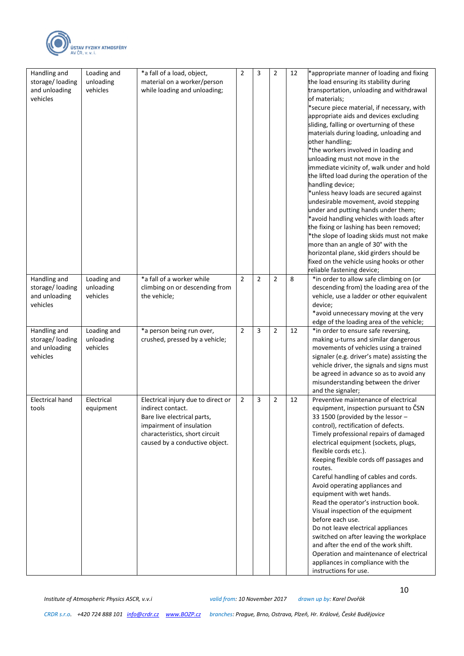

| Handling and<br>storage/loading<br>and unloading<br>vehicles | Loading and<br>unloading<br>vehicles | *a fall of a load, object,<br>material on a worker/person<br>while loading and unloading;                                                                                              | $\overline{2}$ | 3              | $\overline{2}$ | 12 | *appropriate manner of loading and fixing<br>the load ensuring its stability during<br>transportation, unloading and withdrawal<br>of materials;<br>*secure piece material, if necessary, with<br>appropriate aids and devices excluding<br>sliding, falling or overturning of these<br>materials during loading, unloading and<br>other handling;<br>*the workers involved in loading and<br>unloading must not move in the<br>immediate vicinity of, walk under and hold<br>the lifted load during the operation of the<br>handling device;<br>*unless heavy loads are secured against<br>undesirable movement, avoid stepping<br>under and putting hands under them;<br>*avoid handling vehicles with loads after<br>the fixing or lashing has been removed;<br>*the slope of loading skids must not make<br>more than an angle of 30° with the<br>horizontal plane, skid girders should be<br>fixed on the vehicle using hooks or other<br>reliable fastening device; |
|--------------------------------------------------------------|--------------------------------------|----------------------------------------------------------------------------------------------------------------------------------------------------------------------------------------|----------------|----------------|----------------|----|---------------------------------------------------------------------------------------------------------------------------------------------------------------------------------------------------------------------------------------------------------------------------------------------------------------------------------------------------------------------------------------------------------------------------------------------------------------------------------------------------------------------------------------------------------------------------------------------------------------------------------------------------------------------------------------------------------------------------------------------------------------------------------------------------------------------------------------------------------------------------------------------------------------------------------------------------------------------------|
| Handling and<br>storage/loading<br>and unloading<br>vehicles | Loading and<br>unloading<br>vehicles | *a fall of a worker while<br>climbing on or descending from<br>the vehicle;                                                                                                            | $\overline{2}$ | $\overline{2}$ | $\overline{2}$ | 8  | *in order to allow safe climbing on (or<br>descending from) the loading area of the<br>vehicle, use a ladder or other equivalent<br>device;<br>*avoid unnecessary moving at the very<br>edge of the loading area of the vehicle;                                                                                                                                                                                                                                                                                                                                                                                                                                                                                                                                                                                                                                                                                                                                          |
| Handling and<br>storage/loading<br>and unloading<br>vehicles | Loading and<br>unloading<br>vehicles | *a person being run over,<br>crushed, pressed by a vehicle;                                                                                                                            | $\overline{2}$ | 3              | $\overline{2}$ | 12 | *in order to ensure safe reversing,<br>making u-turns and similar dangerous<br>movements of vehicles using a trained<br>signaler (e.g. driver's mate) assisting the<br>vehicle driver, the signals and signs must<br>be agreed in advance so as to avoid any<br>misunderstanding between the driver<br>and the signaler;                                                                                                                                                                                                                                                                                                                                                                                                                                                                                                                                                                                                                                                  |
| <b>Electrical hand</b><br>tools                              | Electrical<br>equipment              | Electrical injury due to direct or<br>indirect contact.<br>Bare live electrical parts,<br>impairment of insulation<br>characteristics, short circuit<br>caused by a conductive object. | $\overline{2}$ | 3              | $\overline{2}$ | 12 | Preventive maintenance of electrical<br>equipment, inspection pursuant to CSN<br>33 1500 (provided by the lessor -<br>control), rectification of defects.<br>Timely professional repairs of damaged<br>electrical equipment (sockets, plugs,<br>flexible cords etc.).<br>Keeping flexible cords off passages and<br>routes.<br>Careful handling of cables and cords.<br>Avoid operating appliances and<br>equipment with wet hands.<br>Read the operator's instruction book.<br>Visual inspection of the equipment<br>before each use.<br>Do not leave electrical appliances<br>switched on after leaving the workplace<br>and after the end of the work shift.<br>Operation and maintenance of electrical<br>appliances in compliance with the<br>instructions for use.                                                                                                                                                                                                  |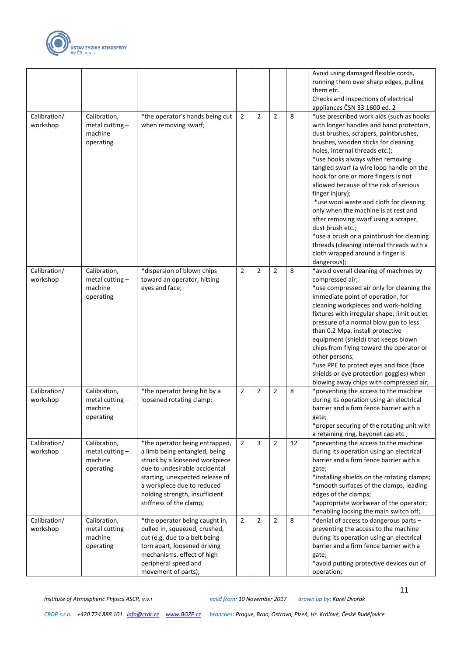

|                          |                                                           |                                                                                                                                                                                                                                                                  |                |                |                |    | Avoid using damaged flexible cords,<br>running them over sharp edges, pulling<br>them etc.<br>Checks and inspections of electrical<br>appliances ČSN 33 1600 ed. 2                                                                                                                                                                                                                                                                                                                                                                                                                                                                                                                    |
|--------------------------|-----------------------------------------------------------|------------------------------------------------------------------------------------------------------------------------------------------------------------------------------------------------------------------------------------------------------------------|----------------|----------------|----------------|----|---------------------------------------------------------------------------------------------------------------------------------------------------------------------------------------------------------------------------------------------------------------------------------------------------------------------------------------------------------------------------------------------------------------------------------------------------------------------------------------------------------------------------------------------------------------------------------------------------------------------------------------------------------------------------------------|
| Calibration/<br>workshop | Calibration,<br>metal cutting $-$<br>machine<br>operating | *the operator's hands being cut<br>when removing swarf;                                                                                                                                                                                                          | $\overline{2}$ | $\overline{2}$ | $\overline{2}$ | 8  | *use prescribed work aids (such as hooks<br>with longer handles and hand protectors,<br>dust brushes, scrapers, paintbrushes,<br>brushes, wooden sticks for cleaning<br>holes, internal threads etc.);<br>*use hooks always when removing<br>tangled swarf (a wire loop handle on the<br>hook for one or more fingers is not<br>allowed because of the risk of serious<br>finger injury);<br>*use wool waste and cloth for cleaning<br>only when the machine is at rest and<br>after removing swarf using a scraper,<br>dust brush etc.;<br>*use a brush or a paintbrush for cleaning<br>threads (cleaning internal threads with a<br>cloth wrapped around a finger is<br>dangerous); |
| Calibration/<br>workshop | Calibration,<br>metal cutting-<br>machine<br>operating    | *dispersion of blown chips<br>toward an operator, hitting<br>eyes and face;                                                                                                                                                                                      | $\overline{2}$ | $\overline{2}$ | $\overline{2}$ | 8  | *avoid overall cleaning of machines by<br>compressed air;<br>*use compressed air only for cleaning the<br>immediate point of operation, for<br>cleaning workpieces and work-holding<br>fixtures with irregular shape; limit outlet<br>pressure of a normal blow gun to less<br>than 0.2 Mpa, install protective<br>equipment (shield) that keeps blown<br>chips from flying toward the operator or<br>other persons;<br>*use PPE to protect eyes and face (face<br>shields or eye protection goggles) when<br>blowing away chips with compressed air;                                                                                                                                 |
| Calibration/<br>workshop | Calibration,<br>metal cutting $-$<br>machine<br>operating | *the operator being hit by a<br>loosened rotating clamp;                                                                                                                                                                                                         | $\overline{2}$ | 2              | 2              | 8  | *preventing the access to the machine<br>during its operation using an electrical<br>barrier and a firm fence barrier with a<br>gate;<br>*proper securing of the rotating unit with<br>a retaining ring, bayonet cap etc.;                                                                                                                                                                                                                                                                                                                                                                                                                                                            |
| Calibration/<br>workshop | Calibration,<br>metal cutting $-$<br>machine<br>operating | *the operator being entrapped,<br>a limb being entangled, being<br>struck by a loosened workpiece<br>due to undesirable accidental<br>starting, unexpected release of<br>a workpiece due to reduced<br>holding strength, insufficient<br>stiffness of the clamp; | $\overline{2}$ | 3              | $\overline{2}$ | 12 | *preventing the access to the machine<br>during its operation using an electrical<br>barrier and a firm fence barrier with a<br>gate;<br>*installing shields on the rotating clamps;<br>*smooth surfaces of the clamps, leading<br>edges of the clamps;<br>*appropriate workwear of the operator;<br>*enabling locking the main switch off;                                                                                                                                                                                                                                                                                                                                           |
| Calibration/<br>workshop | Calibration,<br>metal cutting $-$<br>machine<br>operating | *the operator being caught in,<br>pulled in, squeezed, crushed,<br>cut (e.g. due to a belt being<br>torn apart, loosened driving<br>mechanisms, effect of high<br>peripheral speed and<br>movement of parts);                                                    | $\overline{2}$ | 2              | 2              | 8  | *denial of access to dangerous parts -<br>preventing the access to the machine<br>during its operation using an electrical<br>barrier and a firm fence barrier with a<br>gate;<br>*avoid putting protective devices out of<br>operation;                                                                                                                                                                                                                                                                                                                                                                                                                                              |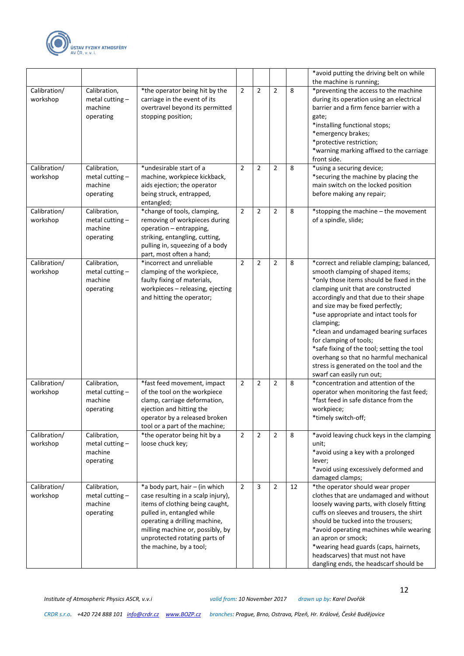

|                          |                                                           |                                                                                                                                                                                                                                                                        |                |                |                |    | *avoid putting the driving belt on while<br>the machine is running;                                                                                                                                                                                                                                                                                                                                                                                                                                                                     |
|--------------------------|-----------------------------------------------------------|------------------------------------------------------------------------------------------------------------------------------------------------------------------------------------------------------------------------------------------------------------------------|----------------|----------------|----------------|----|-----------------------------------------------------------------------------------------------------------------------------------------------------------------------------------------------------------------------------------------------------------------------------------------------------------------------------------------------------------------------------------------------------------------------------------------------------------------------------------------------------------------------------------------|
| Calibration/<br>workshop | Calibration,<br>metal cutting $-$<br>machine<br>operating | *the operator being hit by the<br>carriage in the event of its<br>overtravel beyond its permitted<br>stopping position;                                                                                                                                                | $\overline{2}$ | $\overline{2}$ | $\overline{2}$ | 8  | *preventing the access to the machine<br>during its operation using an electrical<br>barrier and a firm fence barrier with a<br>gate;<br>*installing functional stops;<br>*emergency brakes;<br>*protective restriction;<br>*warning marking affixed to the carriage<br>front side.                                                                                                                                                                                                                                                     |
| Calibration/<br>workshop | Calibration,<br>metal cutting $-$<br>machine<br>operating | *undesirable start of a<br>machine, workpiece kickback,<br>aids ejection; the operator<br>being struck, entrapped,<br>entangled;                                                                                                                                       | $\overline{2}$ | $\overline{2}$ | $\overline{2}$ | 8  | *using a securing device;<br>*securing the machine by placing the<br>main switch on the locked position<br>before making any repair;                                                                                                                                                                                                                                                                                                                                                                                                    |
| Calibration/<br>workshop | Calibration,<br>metal cutting-<br>machine<br>operating    | *change of tools, clamping,<br>removing of workpieces during<br>operation - entrapping,<br>striking, entangling, cutting,<br>pulling in, squeezing of a body<br>part, most often a hand;                                                                               | $\overline{2}$ | $\overline{2}$ | $\overline{2}$ | 8  | *stopping the machine - the movement<br>of a spindle, slide;                                                                                                                                                                                                                                                                                                                                                                                                                                                                            |
| Calibration/<br>workshop | Calibration,<br>metal cutting $-$<br>machine<br>operating | *incorrect and unreliable<br>clamping of the workpiece,<br>faulty fixing of materials,<br>workpieces - releasing, ejecting<br>and hitting the operator;                                                                                                                | $\overline{2}$ | $\overline{2}$ | $\overline{2}$ | 8  | *correct and reliable clamping; balanced,<br>smooth clamping of shaped items;<br>*only those items should be fixed in the<br>clamping unit that are constructed<br>accordingly and that due to their shape<br>and size may be fixed perfectly;<br>*use appropriate and intact tools for<br>clamping;<br>*clean and undamaged bearing surfaces<br>for clamping of tools;<br>*safe fixing of the tool; setting the tool<br>overhang so that no harmful mechanical<br>stress is generated on the tool and the<br>swarf can easily run out; |
| Calibration/<br>workshop | Calibration,<br>metal cutting $-$<br>machine<br>operating | *fast feed movement, impact<br>of the tool on the workpiece<br>clamp, carriage deformation,<br>ejection and hitting the<br>operator by a released broken<br>tool or a part of the machine;                                                                             | $\overline{2}$ | $\overline{2}$ | $\overline{2}$ | 8  | *concentration and attention of the<br>operator when monitoring the fast feed;<br>*fast feed in safe distance from the<br>workpiece;<br>*timely switch-off;                                                                                                                                                                                                                                                                                                                                                                             |
| Calibration/<br>workshop | Calibration,<br>metal cutting $-$<br>machine<br>operating | *the operator being hit by a<br>loose chuck key;                                                                                                                                                                                                                       | $\overline{2}$ | $\overline{2}$ | $\overline{2}$ | 8  | *avoid leaving chuck keys in the clamping<br>unit;<br>*avoid using a key with a prolonged<br>lever;<br>*avoid using excessively deformed and<br>damaged clamps;                                                                                                                                                                                                                                                                                                                                                                         |
| Calibration/<br>workshop | Calibration,<br>metal cutting $-$<br>machine<br>operating | *a body part, hair - (in which<br>case resulting in a scalp injury),<br>items of clothing being caught,<br>pulled in, entangled while<br>operating a drilling machine,<br>milling machine or, possibly, by<br>unprotected rotating parts of<br>the machine, by a tool; | $\overline{2}$ | 3              | $\overline{2}$ | 12 | *the operator should wear proper<br>clothes that are undamaged and without<br>loosely waving parts, with closely fitting<br>cuffs on sleeves and trousers, the shirt<br>should be tucked into the trousers;<br>*avoid operating machines while wearing<br>an apron or smock;<br>*wearing head guards (caps, hairnets,<br>headscarves) that must not have<br>dangling ends, the headscarf should be                                                                                                                                      |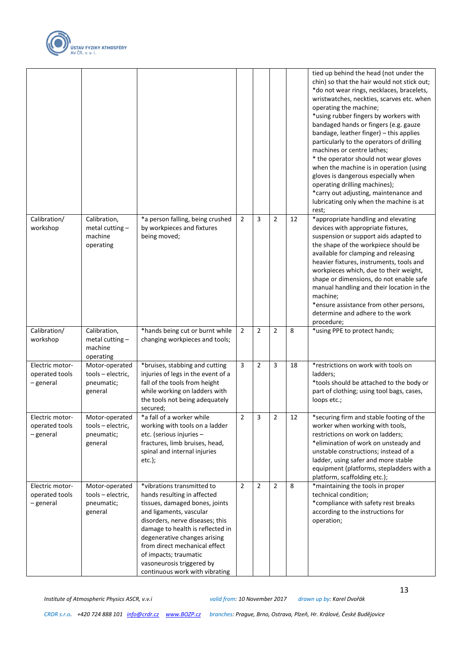

|                                                |                                                              |                                                                                                                                                                                                                                                                                                                                                        |                |                |                         |    | tied up behind the head (not under the<br>chin) so that the hair would not stick out;<br>*do not wear rings, necklaces, bracelets,<br>wristwatches, neckties, scarves etc. when<br>operating the machine;<br>*using rubber fingers by workers with<br>bandaged hands or fingers (e.g. gauze<br>bandage, leather finger) - this applies<br>particularly to the operators of drilling<br>machines or centre lathes;<br>* the operator should not wear gloves<br>when the machine is in operation (using<br>gloves is dangerous especially when<br>operating drilling machines);<br>*carry out adjusting, maintenance and<br>lubricating only when the machine is at<br>rest; |
|------------------------------------------------|--------------------------------------------------------------|--------------------------------------------------------------------------------------------------------------------------------------------------------------------------------------------------------------------------------------------------------------------------------------------------------------------------------------------------------|----------------|----------------|-------------------------|----|----------------------------------------------------------------------------------------------------------------------------------------------------------------------------------------------------------------------------------------------------------------------------------------------------------------------------------------------------------------------------------------------------------------------------------------------------------------------------------------------------------------------------------------------------------------------------------------------------------------------------------------------------------------------------|
| Calibration/<br>workshop                       | Calibration,<br>metal cutting $-$<br>machine<br>operating    | *a person falling, being crushed<br>by workpieces and fixtures<br>being moved;                                                                                                                                                                                                                                                                         | $\overline{2}$ | 3              | $\overline{2}$          | 12 | *appropriate handling and elevating<br>devices with appropriate fixtures,<br>suspension or support aids adapted to<br>the shape of the workpiece should be<br>available for clamping and releasing<br>heavier fixtures, instruments, tools and<br>workpieces which, due to their weight,<br>shape or dimensions, do not enable safe<br>manual handling and their location in the<br>machine;<br>*ensure assistance from other persons,<br>determine and adhere to the work<br>procedure;                                                                                                                                                                                   |
| Calibration/<br>workshop                       | Calibration,<br>metal cutting $-$<br>machine<br>operating    | *hands being cut or burnt while<br>changing workpieces and tools;                                                                                                                                                                                                                                                                                      | 2              | $\overline{2}$ | $\overline{2}$          | 8  | *using PPE to protect hands;                                                                                                                                                                                                                                                                                                                                                                                                                                                                                                                                                                                                                                               |
| Electric motor-<br>operated tools<br>- general | Motor-operated<br>tools - electric,<br>pneumatic;<br>general | *bruises, stabbing and cutting<br>injuries of legs in the event of a<br>fall of the tools from height<br>while working on ladders with<br>the tools not being adequately<br>secured;                                                                                                                                                                   | 3              | $\overline{2}$ | 3                       | 18 | *restrictions on work with tools on<br>ladders;<br>*tools should be attached to the body or<br>part of clothing; using tool bags, cases,<br>loops etc.;                                                                                                                                                                                                                                                                                                                                                                                                                                                                                                                    |
| Electric motor-<br>operated tools<br>- general | Motor-operated<br>tools - electric,<br>pneumatic;<br>general | *a fall of a worker while<br>working with tools on a ladder<br>etc. (serious injuries -<br>fractures, limb bruises, head,<br>spinal and internal injuries<br>$etc.$ );                                                                                                                                                                                 | $\mathbf 2$    | 3              | $\overline{\mathbf{c}}$ | 12 | *securing firm and stable footing of the<br>worker when working with tools,<br>restrictions on work on ladders;<br>*elimination of work on unsteady and<br>unstable constructions; instead of a<br>ladder, using safer and more stable<br>equipment (platforms, stepladders with a<br>platform, scaffolding etc.);                                                                                                                                                                                                                                                                                                                                                         |
| Electric motor-<br>operated tools<br>– general | Motor-operated<br>tools - electric,<br>pneumatic;<br>general | *vibrations transmitted to<br>hands resulting in affected<br>tissues, damaged bones, joints<br>and ligaments, vascular<br>disorders, nerve diseases; this<br>damage to health is reflected in<br>degenerative changes arising<br>from direct mechanical effect<br>of impacts; traumatic<br>vasoneurosis triggered by<br>continuous work with vibrating | $\overline{2}$ | $\overline{2}$ | $\overline{2}$          | 8  | *maintaining the tools in proper<br>technical condition;<br>*compliance with safety rest breaks<br>according to the instructions for<br>operation;                                                                                                                                                                                                                                                                                                                                                                                                                                                                                                                         |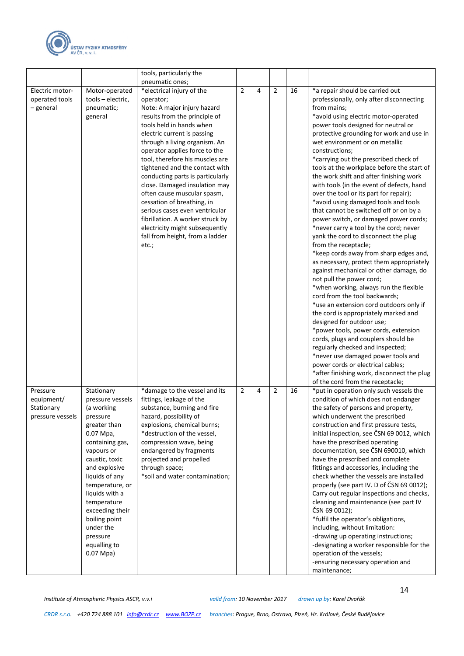

|                                                          |                                                                                                                                                                                                                                                                                                                           | tools, particularly the                                                                                                                                                                                                                                                                                                                                                                                                                                                                                                                                                                        |                |   |                |    |                                                                                                                                                                                                                                                                                                                                                                                                                                                                                                                                                                                                                                                                                                                                                                                                                                                                                                                                                                                                                                                                                                                                                                                                                                                                                                                                            |
|----------------------------------------------------------|---------------------------------------------------------------------------------------------------------------------------------------------------------------------------------------------------------------------------------------------------------------------------------------------------------------------------|------------------------------------------------------------------------------------------------------------------------------------------------------------------------------------------------------------------------------------------------------------------------------------------------------------------------------------------------------------------------------------------------------------------------------------------------------------------------------------------------------------------------------------------------------------------------------------------------|----------------|---|----------------|----|--------------------------------------------------------------------------------------------------------------------------------------------------------------------------------------------------------------------------------------------------------------------------------------------------------------------------------------------------------------------------------------------------------------------------------------------------------------------------------------------------------------------------------------------------------------------------------------------------------------------------------------------------------------------------------------------------------------------------------------------------------------------------------------------------------------------------------------------------------------------------------------------------------------------------------------------------------------------------------------------------------------------------------------------------------------------------------------------------------------------------------------------------------------------------------------------------------------------------------------------------------------------------------------------------------------------------------------------|
|                                                          |                                                                                                                                                                                                                                                                                                                           | pneumatic ones;                                                                                                                                                                                                                                                                                                                                                                                                                                                                                                                                                                                |                |   |                |    |                                                                                                                                                                                                                                                                                                                                                                                                                                                                                                                                                                                                                                                                                                                                                                                                                                                                                                                                                                                                                                                                                                                                                                                                                                                                                                                                            |
| Electric motor-<br>operated tools<br>- general           | Motor-operated<br>tools - electric,<br>pneumatic;<br>general                                                                                                                                                                                                                                                              | *electrical injury of the<br>operator;<br>Note: A major injury hazard<br>results from the principle of<br>tools held in hands when<br>electric current is passing<br>through a living organism. An<br>operator applies force to the<br>tool, therefore his muscles are<br>tightened and the contact with<br>conducting parts is particularly<br>close. Damaged insulation may<br>often cause muscular spasm,<br>cessation of breathing, in<br>serious cases even ventricular<br>fibrillation. A worker struck by<br>electricity might subsequently<br>fall from height, from a ladder<br>etc.; | $\overline{2}$ | 4 | $\overline{2}$ | 16 | *a repair should be carried out<br>professionally, only after disconnecting<br>from mains:<br>*avoid using electric motor-operated<br>power tools designed for neutral or<br>protective grounding for work and use in<br>wet environment or on metallic<br>constructions;<br>*carrying out the prescribed check of<br>tools at the workplace before the start of<br>the work shift and after finishing work<br>with tools (in the event of defects, hand<br>over the tool or its part for repair);<br>*avoid using damaged tools and tools<br>that cannot be switched off or on by a<br>power switch, or damaged power cords;<br>*never carry a tool by the cord; never<br>yank the cord to disconnect the plug<br>from the receptacle;<br>*keep cords away from sharp edges and,<br>as necessary, protect them appropriately<br>against mechanical or other damage, do<br>not pull the power cord;<br>*when working, always run the flexible<br>cord from the tool backwards;<br>*use an extension cord outdoors only if<br>the cord is appropriately marked and<br>designed for outdoor use;<br>*power tools, power cords, extension<br>cords, plugs and couplers should be<br>regularly checked and inspected;<br>*never use damaged power tools and<br>power cords or electrical cables;<br>*after finishing work, disconnect the plug |
| Pressure<br>equipment/<br>Stationary<br>pressure vessels | Stationary<br>pressure vessels<br>(a working<br>pressure<br>greater than<br>0.07 Mpa,<br>containing gas,<br>vapours or<br>caustic, toxic<br>and explosive<br>liquids of any<br>temperature, or<br>liquids with a<br>temperature<br>exceeding their<br>boiling point<br>under the<br>pressure<br>equalling to<br>0.07 Mpa) | *damage to the vessel and its<br>fittings, leakage of the<br>substance, burning and fire<br>hazard, possibility of<br>explosions, chemical burns;<br>*destruction of the vessel,<br>compression wave, being<br>endangered by fragments<br>projected and propelled<br>through space;<br>*soil and water contamination;                                                                                                                                                                                                                                                                          | $\overline{2}$ | 4 | $\overline{2}$ | 16 | of the cord from the receptacle;<br>*put in operation only such vessels the<br>condition of which does not endanger<br>the safety of persons and property,<br>which underwent the prescribed<br>construction and first pressure tests,<br>initial inspection, see CSN 69 0012, which<br>have the prescribed operating<br>documentation, see ČSN 690010, which<br>have the prescribed and complete<br>fittings and accessories, including the<br>check whether the vessels are installed<br>properly (see part IV. D of CSN 69 0012);<br>Carry out regular inspections and checks,<br>cleaning and maintenance (see part IV<br>ČSN 69 0012);<br>*fulfil the operator's obligations,<br>including, without limitation:<br>-drawing up operating instructions;<br>-designating a worker responsible for the<br>operation of the vessels;<br>-ensuring necessary operation and<br>maintenance;                                                                                                                                                                                                                                                                                                                                                                                                                                                 |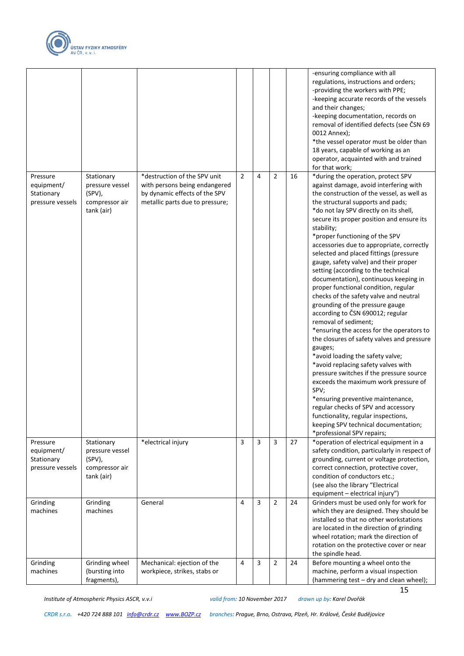

| $\overline{2}$<br>$\overline{2}$<br>*destruction of the SPV unit<br>4<br>16<br>*during the operation, protect SPV<br>Pressure<br>Stationary<br>equipment/<br>with persons being endangered<br>against damage, avoid interfering with<br>pressure vessel<br>(SPV),<br>Stationary<br>by dynamic effects of the SPV<br>the construction of the vessel, as well as<br>metallic parts due to pressure;<br>the structural supports and pads;<br>pressure vessels<br>compressor air<br>*do not lay SPV directly on its shell,<br>tank (air)<br>secure its proper position and ensure its<br>stability;<br>*proper functioning of the SPV<br>accessories due to appropriate, correctly<br>selected and placed fittings (pressure<br>gauge, safety valve) and their proper<br>setting (according to the technical<br>documentation), continuous keeping in<br>proper functional condition, regular<br>checks of the safety valve and neutral<br>grounding of the pressure gauge<br>according to ČSN 690012; regular<br>removal of sediment;<br>*ensuring the access for the operators to<br>the closures of safety valves and pressure<br>gauges;<br>*avoid loading the safety valve;<br>*avoid replacing safety valves with<br>pressure switches if the pressure source<br>exceeds the maximum work pressure of<br>SPV;<br>*ensuring preventive maintenance,<br>regular checks of SPV and accessory<br>functionality, regular inspections,<br>keeping SPV technical documentation;<br>*professional SPV repairs;<br>$\overline{3}$<br>$\overline{3}$<br>*operation of electrical equipment in a<br>*electrical injury<br>3<br>27<br>Stationary<br>Pressure<br>safety condition, particularly in respect of<br>equipment/<br>pressure vessel<br>(SPV),<br>grounding, current or voltage protection,<br>Stationary<br>pressure vessels<br>compressor air<br>correct connection, protective cover,<br>condition of conductors etc.;<br>tank (air)<br>(see also the library "Electrical<br>equipment - electrical injury")<br>Grinding<br>Grinding<br>4<br>3<br>$\overline{2}$<br>Grinders must be used only for work for<br>General<br>24<br>which they are designed. They should be<br>machines<br>machines<br>installed so that no other workstations<br>are located in the direction of grinding<br>wheel rotation; mark the direction of<br>rotation on the protective cover or near<br>the spindle head.<br>Before mounting a wheel onto the<br>Grinding wheel<br>Mechanical: ejection of the<br>3<br>$\overline{2}$<br>Grinding<br>4<br>24<br>machine, perform a visual inspection<br>machines<br>(bursting into<br>workpiece, strikes, stabs or<br>(hammering test - dry and clean wheel);<br>fragments), |  |  |  | -ensuring compliance with all<br>regulations, instructions and orders;<br>-providing the workers with PPE;<br>-keeping accurate records of the vessels<br>and their changes;<br>-keeping documentation, records on<br>removal of identified defects (see ČSN 69<br>0012 Annex);<br>*the vessel operator must be older than<br>18 years, capable of working as an<br>operator, acquainted with and trained<br>for that work; |
|-------------------------------------------------------------------------------------------------------------------------------------------------------------------------------------------------------------------------------------------------------------------------------------------------------------------------------------------------------------------------------------------------------------------------------------------------------------------------------------------------------------------------------------------------------------------------------------------------------------------------------------------------------------------------------------------------------------------------------------------------------------------------------------------------------------------------------------------------------------------------------------------------------------------------------------------------------------------------------------------------------------------------------------------------------------------------------------------------------------------------------------------------------------------------------------------------------------------------------------------------------------------------------------------------------------------------------------------------------------------------------------------------------------------------------------------------------------------------------------------------------------------------------------------------------------------------------------------------------------------------------------------------------------------------------------------------------------------------------------------------------------------------------------------------------------------------------------------------------------------------------------------------------------------------------------------------------------------------------------------------------------------------------------------------------------------------------------------------------------------------------------------------------------------------------------------------------------------------------------------------------------------------------------------------------------------------------------------------------------------------------------------------------------------------------------------------------------------------------------------------------------------------------------------------------------------------------------------------------------------------------------------------------------------------------------------------------|--|--|--|-----------------------------------------------------------------------------------------------------------------------------------------------------------------------------------------------------------------------------------------------------------------------------------------------------------------------------------------------------------------------------------------------------------------------------|
|                                                                                                                                                                                                                                                                                                                                                                                                                                                                                                                                                                                                                                                                                                                                                                                                                                                                                                                                                                                                                                                                                                                                                                                                                                                                                                                                                                                                                                                                                                                                                                                                                                                                                                                                                                                                                                                                                                                                                                                                                                                                                                                                                                                                                                                                                                                                                                                                                                                                                                                                                                                                                                                                                                       |  |  |  |                                                                                                                                                                                                                                                                                                                                                                                                                             |
|                                                                                                                                                                                                                                                                                                                                                                                                                                                                                                                                                                                                                                                                                                                                                                                                                                                                                                                                                                                                                                                                                                                                                                                                                                                                                                                                                                                                                                                                                                                                                                                                                                                                                                                                                                                                                                                                                                                                                                                                                                                                                                                                                                                                                                                                                                                                                                                                                                                                                                                                                                                                                                                                                                       |  |  |  |                                                                                                                                                                                                                                                                                                                                                                                                                             |
|                                                                                                                                                                                                                                                                                                                                                                                                                                                                                                                                                                                                                                                                                                                                                                                                                                                                                                                                                                                                                                                                                                                                                                                                                                                                                                                                                                                                                                                                                                                                                                                                                                                                                                                                                                                                                                                                                                                                                                                                                                                                                                                                                                                                                                                                                                                                                                                                                                                                                                                                                                                                                                                                                                       |  |  |  |                                                                                                                                                                                                                                                                                                                                                                                                                             |
|                                                                                                                                                                                                                                                                                                                                                                                                                                                                                                                                                                                                                                                                                                                                                                                                                                                                                                                                                                                                                                                                                                                                                                                                                                                                                                                                                                                                                                                                                                                                                                                                                                                                                                                                                                                                                                                                                                                                                                                                                                                                                                                                                                                                                                                                                                                                                                                                                                                                                                                                                                                                                                                                                                       |  |  |  |                                                                                                                                                                                                                                                                                                                                                                                                                             |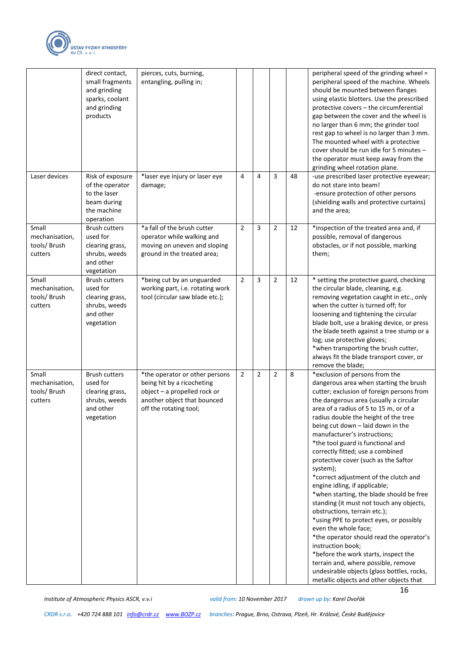

|                                                    | direct contact,<br>small fragments<br>and grinding<br>sparks, coolant<br>and grinding<br>products | pierces, cuts, burning,<br>entangling, pulling in;                                                                                                    |                |   |   |    | peripheral speed of the grinding wheel =<br>peripheral speed of the machine. Wheels<br>should be mounted between flanges<br>using elastic blotters. Use the prescribed<br>protective covers - the circumferential<br>gap between the cover and the wheel is<br>no larger than 6 mm; the grinder tool<br>rest gap to wheel is no larger than 3 mm.<br>The mounted wheel with a protective<br>cover should be run idle for 5 minutes -<br>the operator must keep away from the<br>grinding wheel rotation plane.                                                                                                                                                                                                                                                                                                                                                                                                                                                    |
|----------------------------------------------------|---------------------------------------------------------------------------------------------------|-------------------------------------------------------------------------------------------------------------------------------------------------------|----------------|---|---|----|-------------------------------------------------------------------------------------------------------------------------------------------------------------------------------------------------------------------------------------------------------------------------------------------------------------------------------------------------------------------------------------------------------------------------------------------------------------------------------------------------------------------------------------------------------------------------------------------------------------------------------------------------------------------------------------------------------------------------------------------------------------------------------------------------------------------------------------------------------------------------------------------------------------------------------------------------------------------|
| Laser devices                                      | Risk of exposure<br>of the operator<br>to the laser<br>beam during<br>the machine<br>operation    | *laser eye injury or laser eye<br>damage;                                                                                                             | 4              | 4 | 3 | 48 | -use prescribed laser protective eyewear;<br>do not stare into beam!<br>-ensure protection of other persons<br>(shielding walls and protective curtains)<br>and the area;                                                                                                                                                                                                                                                                                                                                                                                                                                                                                                                                                                                                                                                                                                                                                                                         |
| Small<br>mechanisation,<br>tools/Brush<br>cutters  | <b>Brush cutters</b><br>used for<br>clearing grass,<br>shrubs, weeds<br>and other<br>vegetation   | *a fall of the brush cutter<br>operator while walking and<br>moving on uneven and sloping<br>ground in the treated area;                              | $\overline{2}$ | 3 | 2 | 12 | *inspection of the treated area and, if<br>possible, removal of dangerous<br>obstacles, or if not possible, marking<br>them;                                                                                                                                                                                                                                                                                                                                                                                                                                                                                                                                                                                                                                                                                                                                                                                                                                      |
| Small<br>mechanisation,<br>tools/Brush<br>cutters  | <b>Brush cutters</b><br>used for<br>clearing grass,<br>shrubs, weeds<br>and other<br>vegetation   | *being cut by an unguarded<br>working part, i.e. rotating work<br>tool (circular saw blade etc.);                                                     | $\overline{2}$ | 3 | 2 | 12 | * setting the protective guard, checking<br>the circular blade, cleaning, e.g.<br>removing vegetation caught in etc., only<br>when the cutter is turned off; for<br>loosening and tightening the circular<br>blade bolt, use a braking device, or press<br>the blade teeth against a tree stump or a<br>log; use protective gloves;<br>*when transporting the brush cutter,<br>always fit the blade transport cover, or<br>remove the blade;                                                                                                                                                                                                                                                                                                                                                                                                                                                                                                                      |
| Small<br>mechanisation,<br>tools/ Brush<br>cutters | <b>Brush cutters</b><br>used for<br>clearing grass,<br>shrubs, weeds<br>and other<br>vegetation   | *the operator or other persons<br>being hit by a ricocheting<br>object - a propelled rock or<br>another object that bounced<br>off the rotating tool; | $\overline{2}$ | 2 | 2 | 8  | *exclusion of persons from the<br>dangerous area when starting the brush<br>cutter; exclusion of foreign persons from<br>the dangerous area (usually a circular<br>area of a radius of 5 to 15 m, or of a<br>radius double the height of the tree<br>being cut down - laid down in the<br>manufacturer's instructions;<br>*the tool guard is functional and<br>correctly fitted; use a combined<br>protective cover (such as the Saftor<br>system);<br>*correct adjustment of the clutch and<br>engine idling, if applicable;<br>*when starting, the blade should be free<br>standing (it must not touch any objects,<br>obstructions, terrain etc.);<br>*using PPE to protect eyes, or possibly<br>even the whole face;<br>*the operator should read the operator's<br>instruction book;<br>*before the work starts, inspect the<br>terrain and, where possible, remove<br>undesirable objects (glass bottles, rocks,<br>metallic objects and other objects that |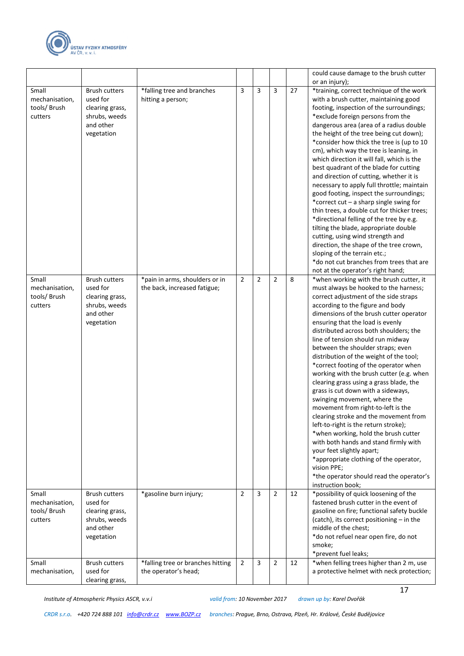

|                                                    |                                                                                                 |                                                           |                |                |                |    | could cause damage to the brush cutter                                                                                                                                                                                                                                                                                                                                                                                                                                                                                                                                                                                                                                                                                                                                                                                                                                                                                                                     |
|----------------------------------------------------|-------------------------------------------------------------------------------------------------|-----------------------------------------------------------|----------------|----------------|----------------|----|------------------------------------------------------------------------------------------------------------------------------------------------------------------------------------------------------------------------------------------------------------------------------------------------------------------------------------------------------------------------------------------------------------------------------------------------------------------------------------------------------------------------------------------------------------------------------------------------------------------------------------------------------------------------------------------------------------------------------------------------------------------------------------------------------------------------------------------------------------------------------------------------------------------------------------------------------------|
|                                                    |                                                                                                 |                                                           |                |                |                |    | or an injury);                                                                                                                                                                                                                                                                                                                                                                                                                                                                                                                                                                                                                                                                                                                                                                                                                                                                                                                                             |
| Small<br>mechanisation,<br>tools/ Brush<br>cutters | <b>Brush cutters</b><br>used for<br>clearing grass,<br>shrubs, weeds<br>and other<br>vegetation | *falling tree and branches<br>hitting a person;           | 3              | 3              | 3              | 27 | *training, correct technique of the work<br>with a brush cutter, maintaining good<br>footing, inspection of the surroundings;<br>*exclude foreign persons from the<br>dangerous area (area of a radius double<br>the height of the tree being cut down);<br>*consider how thick the tree is (up to 10<br>cm), which way the tree is leaning, in<br>which direction it will fall, which is the<br>best quadrant of the blade for cutting<br>and direction of cutting, whether it is<br>necessary to apply full throttle; maintain<br>good footing, inspect the surroundings;<br>*correct cut - a sharp single swing for<br>thin trees, a double cut for thicker trees;<br>*directional felling of the tree by e.g.<br>tilting the blade, appropriate double<br>cutting, using wind strength and<br>direction, the shape of the tree crown,<br>sloping of the terrain etc.;<br>*do not cut branches from trees that are<br>not at the operator's right hand; |
| Small                                              | <b>Brush cutters</b>                                                                            | *pain in arms, shoulders or in                            | $\overline{2}$ | $\overline{2}$ | $\overline{2}$ | 8  | *when working with the brush cutter, it                                                                                                                                                                                                                                                                                                                                                                                                                                                                                                                                                                                                                                                                                                                                                                                                                                                                                                                    |
| mechanisation,<br>tools/Brush<br>cutters           | used for<br>clearing grass,<br>shrubs, weeds<br>and other<br>vegetation                         | the back, increased fatigue;                              |                |                |                |    | must always be hooked to the harness;<br>correct adjustment of the side straps<br>according to the figure and body<br>dimensions of the brush cutter operator<br>ensuring that the load is evenly<br>distributed across both shoulders; the<br>line of tension should run midway<br>between the shoulder straps; even<br>distribution of the weight of the tool;<br>*correct footing of the operator when<br>working with the brush cutter (e.g. when<br>clearing grass using a grass blade, the<br>grass is cut down with a sideways,<br>swinging movement, where the<br>movement from right-to-left is the<br>clearing stroke and the movement from<br>left-to-right is the return stroke);<br>*when working, hold the brush cutter<br>with both hands and stand firmly with<br>your feet slightly apart;<br>*appropriate clothing of the operator,<br>vision PPE;<br>*the operator should read the operator's<br>instruction book;                      |
| Small<br>mechanisation,<br>tools/Brush<br>cutters  | <b>Brush cutters</b><br>used for<br>clearing grass,<br>shrubs, weeds<br>and other<br>vegetation | *gasoline burn injury;                                    | $\overline{2}$ | 3              | $\overline{2}$ | 12 | *possibility of quick loosening of the<br>fastened brush cutter in the event of<br>gasoline on fire; functional safety buckle<br>(catch), its correct positioning - in the<br>middle of the chest;<br>*do not refuel near open fire, do not<br>smoke;<br>*prevent fuel leaks;                                                                                                                                                                                                                                                                                                                                                                                                                                                                                                                                                                                                                                                                              |
| Small<br>mechanisation,                            | <b>Brush cutters</b><br>used for<br>clearing grass,                                             | *falling tree or branches hitting<br>the operator's head; | $\overline{2}$ | 3              | $\overline{2}$ | 12 | *when felling trees higher than 2 m, use<br>a protective helmet with neck protection;                                                                                                                                                                                                                                                                                                                                                                                                                                                                                                                                                                                                                                                                                                                                                                                                                                                                      |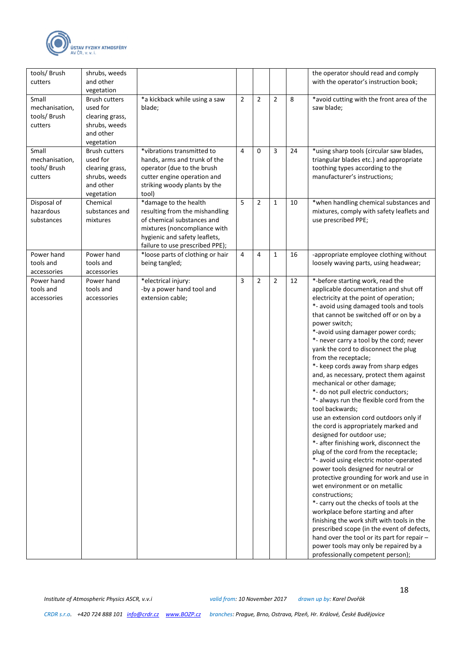

| tools/ Brush<br>cutters                           | shrubs, weeds<br>and other<br>vegetation                                                        |                                                                                                                                                                                           |                |                |                |    | the operator should read and comply<br>with the operator's instruction book;                                                                                                                                                                                                                                                                                                                                                                                                                                                                                                                                                                                                                                                                                                                                                                                                                                                                                                                                                                                                                                                                                                                                                                                                                     |
|---------------------------------------------------|-------------------------------------------------------------------------------------------------|-------------------------------------------------------------------------------------------------------------------------------------------------------------------------------------------|----------------|----------------|----------------|----|--------------------------------------------------------------------------------------------------------------------------------------------------------------------------------------------------------------------------------------------------------------------------------------------------------------------------------------------------------------------------------------------------------------------------------------------------------------------------------------------------------------------------------------------------------------------------------------------------------------------------------------------------------------------------------------------------------------------------------------------------------------------------------------------------------------------------------------------------------------------------------------------------------------------------------------------------------------------------------------------------------------------------------------------------------------------------------------------------------------------------------------------------------------------------------------------------------------------------------------------------------------------------------------------------|
| Small<br>mechanisation,<br>tools/Brush<br>cutters | <b>Brush cutters</b><br>used for<br>clearing grass,<br>shrubs, weeds<br>and other<br>vegetation | *a kickback while using a saw<br>blade;                                                                                                                                                   | $\overline{2}$ | $\overline{2}$ | $\overline{2}$ | 8  | *avoid cutting with the front area of the<br>saw blade;                                                                                                                                                                                                                                                                                                                                                                                                                                                                                                                                                                                                                                                                                                                                                                                                                                                                                                                                                                                                                                                                                                                                                                                                                                          |
| Small<br>mechanisation,<br>tools/Brush<br>cutters | <b>Brush cutters</b><br>used for<br>clearing grass,<br>shrubs, weeds<br>and other<br>vegetation | *vibrations transmitted to<br>hands, arms and trunk of the<br>operator (due to the brush<br>cutter engine operation and<br>striking woody plants by the<br>tool)                          | 4              | 0              | 3              | 24 | *using sharp tools (circular saw blades,<br>triangular blades etc.) and appropriate<br>toothing types according to the<br>manufacturer's instructions;                                                                                                                                                                                                                                                                                                                                                                                                                                                                                                                                                                                                                                                                                                                                                                                                                                                                                                                                                                                                                                                                                                                                           |
| Disposal of<br>hazardous<br>substances            | Chemical<br>substances and<br>mixtures                                                          | *damage to the health<br>resulting from the mishandling<br>of chemical substances and<br>mixtures (noncompliance with<br>hygienic and safety leaflets,<br>failure to use prescribed PPE); | 5              | $\overline{2}$ | $\mathbf{1}$   | 10 | *when handling chemical substances and<br>mixtures, comply with safety leaflets and<br>use prescribed PPE;                                                                                                                                                                                                                                                                                                                                                                                                                                                                                                                                                                                                                                                                                                                                                                                                                                                                                                                                                                                                                                                                                                                                                                                       |
| Power hand<br>tools and<br>accessories            | Power hand<br>tools and<br>accessories                                                          | *loose parts of clothing or hair<br>being tangled;                                                                                                                                        | 4              | 4              | 1              | 16 | -appropriate employee clothing without<br>loosely waving parts, using headwear;                                                                                                                                                                                                                                                                                                                                                                                                                                                                                                                                                                                                                                                                                                                                                                                                                                                                                                                                                                                                                                                                                                                                                                                                                  |
| Power hand<br>tools and<br>accessories            | Power hand<br>tools and<br>accessories                                                          | *electrical injury:<br>-by a power hand tool and<br>extension cable;                                                                                                                      | 3              | 2              | $\overline{2}$ | 12 | *-before starting work, read the<br>applicable documentation and shut off<br>electricity at the point of operation;<br>*- avoid using damaged tools and tools<br>that cannot be switched off or on by a<br>power switch;<br>*-avoid using damager power cords;<br>*- never carry a tool by the cord; never<br>yank the cord to disconnect the plug<br>from the receptacle;<br>*- keep cords away from sharp edges<br>and, as necessary, protect them against<br>mechanical or other damage;<br>*- do not pull electric conductors;<br>*- always run the flexible cord from the<br>tool backwards;<br>use an extension cord outdoors only if<br>the cord is appropriately marked and<br>designed for outdoor use;<br>*- after finishing work, disconnect the<br>plug of the cord from the receptacle;<br>*- avoid using electric motor-operated<br>power tools designed for neutral or<br>protective grounding for work and use in<br>wet environment or on metallic<br>constructions:<br>*- carry out the checks of tools at the<br>workplace before starting and after<br>finishing the work shift with tools in the<br>prescribed scope (in the event of defects,<br>hand over the tool or its part for repair -<br>power tools may only be repaired by a<br>professionally competent person); |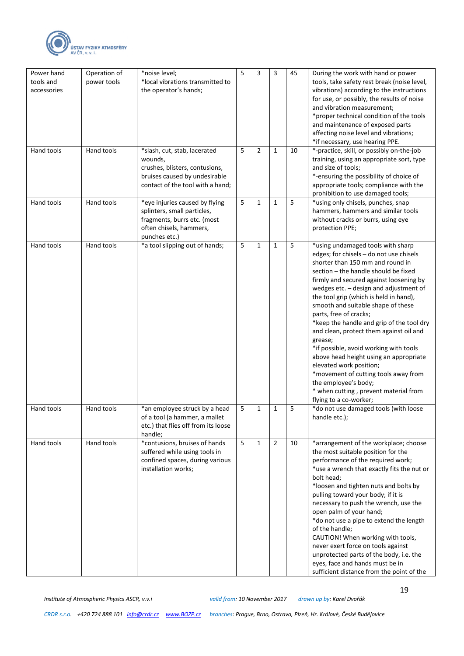

| Power hand<br>tools and<br>accessories | Operation of<br>power tools | *noise level;<br>*local vibrations transmitted to<br>the operator's hands;                                                                     | 5 | 3              | 3              | 45 | During the work with hand or power<br>tools, take safety rest break (noise level,<br>vibrations) according to the instructions<br>for use, or possibly, the results of noise<br>and vibration measurement;<br>*proper technical condition of the tools<br>and maintenance of exposed parts<br>affecting noise level and vibrations;<br>*if necessary, use hearing PPE.                                                                                                                                                                                                                                                                                                                                       |
|----------------------------------------|-----------------------------|------------------------------------------------------------------------------------------------------------------------------------------------|---|----------------|----------------|----|--------------------------------------------------------------------------------------------------------------------------------------------------------------------------------------------------------------------------------------------------------------------------------------------------------------------------------------------------------------------------------------------------------------------------------------------------------------------------------------------------------------------------------------------------------------------------------------------------------------------------------------------------------------------------------------------------------------|
| Hand tools                             | Hand tools                  | *slash, cut, stab, lacerated<br>wounds,<br>crushes, blisters, contusions,<br>bruises caused by undesirable<br>contact of the tool with a hand; | 5 | $\overline{2}$ | 1              | 10 | *-practice, skill, or possibly on-the-job<br>training, using an appropriate sort, type<br>and size of tools;<br>*-ensuring the possibility of choice of<br>appropriate tools; compliance with the<br>prohibition to use damaged tools;                                                                                                                                                                                                                                                                                                                                                                                                                                                                       |
| Hand tools                             | Hand tools                  | *eye injuries caused by flying<br>splinters, small particles,<br>fragments, burrs etc. (most<br>often chisels, hammers,<br>punches etc.)       | 5 | 1              | 1              | 5  | *using only chisels, punches, snap<br>hammers, hammers and similar tools<br>without cracks or burrs, using eye<br>protection PPE;                                                                                                                                                                                                                                                                                                                                                                                                                                                                                                                                                                            |
| Hand tools                             | Hand tools                  | *a tool slipping out of hands;                                                                                                                 | 5 | 1              | 1              | 5  | *using undamaged tools with sharp<br>edges; for chisels - do not use chisels<br>shorter than 150 mm and round in<br>section - the handle should be fixed<br>firmly and secured against loosening by<br>wedges etc. - design and adjustment of<br>the tool grip (which is held in hand),<br>smooth and suitable shape of these<br>parts, free of cracks;<br>*keep the handle and grip of the tool dry<br>and clean, protect them against oil and<br>grease;<br>*if possible, avoid working with tools<br>above head height using an appropriate<br>elevated work position;<br>*movement of cutting tools away from<br>the employee's body;<br>* when cutting, prevent material from<br>flying to a co-worker; |
| Hand tools                             | Hand tools                  | *an employee struck by a head<br>of a tool (a hammer, a mallet<br>etc.) that flies off from its loose<br>handle;                               | 5 | 1              | 1              | 5  | *do not use damaged tools (with loose<br>handle etc.);                                                                                                                                                                                                                                                                                                                                                                                                                                                                                                                                                                                                                                                       |
| Hand tools                             | Hand tools                  | *contusions, bruises of hands<br>suffered while using tools in<br>confined spaces, during various<br>installation works;                       | 5 | $\mathbf{1}$   | $\overline{2}$ | 10 | *arrangement of the workplace; choose<br>the most suitable position for the<br>performance of the required work;<br>*use a wrench that exactly fits the nut or<br>bolt head;<br>*loosen and tighten nuts and bolts by<br>pulling toward your body; if it is<br>necessary to push the wrench, use the<br>open palm of your hand;<br>*do not use a pipe to extend the length<br>of the handle;<br>CAUTION! When working with tools,<br>never exert force on tools against<br>unprotected parts of the body, i.e. the<br>eyes, face and hands must be in<br>sufficient distance from the point of the                                                                                                           |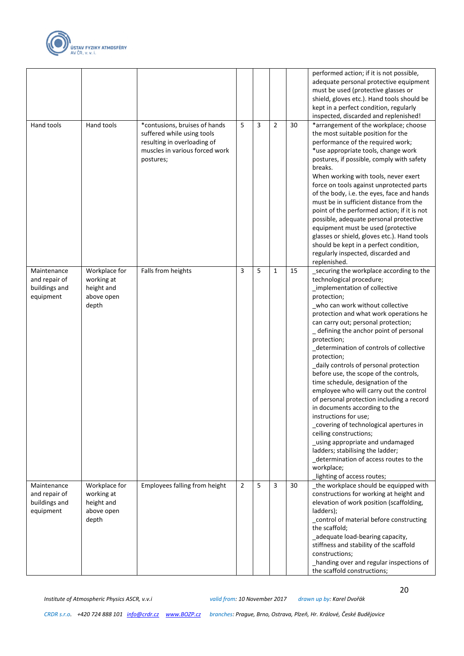

|                                                            |                                                                  |                                                                                                                                           |   |   |              |    | performed action; if it is not possible,<br>adequate personal protective equipment<br>must be used (protective glasses or<br>shield, gloves etc.). Hand tools should be<br>kept in a perfect condition, regularly<br>inspected, discarded and replenished!                                                                                                                                                                                                                                                                                                                                                                                                                                                                                                                                                                                                                  |
|------------------------------------------------------------|------------------------------------------------------------------|-------------------------------------------------------------------------------------------------------------------------------------------|---|---|--------------|----|-----------------------------------------------------------------------------------------------------------------------------------------------------------------------------------------------------------------------------------------------------------------------------------------------------------------------------------------------------------------------------------------------------------------------------------------------------------------------------------------------------------------------------------------------------------------------------------------------------------------------------------------------------------------------------------------------------------------------------------------------------------------------------------------------------------------------------------------------------------------------------|
| Hand tools                                                 | Hand tools                                                       | *contusions, bruises of hands<br>suffered while using tools<br>resulting in overloading of<br>muscles in various forced work<br>postures; | 5 | 3 | 2            | 30 | *arrangement of the workplace; choose<br>the most suitable position for the<br>performance of the required work;<br>*use appropriate tools, change work<br>postures, if possible, comply with safety<br>breaks.<br>When working with tools, never exert<br>force on tools against unprotected parts<br>of the body, i.e. the eyes, face and hands<br>must be in sufficient distance from the<br>point of the performed action; if it is not<br>possible, adequate personal protective<br>equipment must be used (protective<br>glasses or shield, gloves etc.). Hand tools<br>should be kept in a perfect condition,<br>regularly inspected, discarded and<br>replenished.                                                                                                                                                                                                  |
| Maintenance<br>and repair of<br>buildings and<br>equipment | Workplace for<br>working at<br>height and<br>above open<br>depth | Falls from heights                                                                                                                        | 3 | 5 | $\mathbf{1}$ | 15 | securing the workplace according to the<br>technological procedure;<br>_implementation of collective<br>protection;<br>_who can work without collective<br>protection and what work operations he<br>can carry out; personal protection;<br>_ defining the anchor point of personal<br>protection;<br>_determination of controls of collective<br>protection;<br>_daily controls of personal protection<br>before use, the scope of the controls,<br>time schedule, designation of the<br>employee who will carry out the control<br>of personal protection including a record<br>in documents according to the<br>instructions for use;<br>_covering of technological apertures in<br>ceiling constructions;<br>_using appropriate and undamaged<br>ladders; stabilising the ladder;<br>_determination of access routes to the<br>workplace;<br>lighting of access routes; |
| Maintenance<br>and repair of<br>buildings and<br>equipment | Workplace for<br>working at<br>height and<br>above open<br>depth | Employees falling from height                                                                                                             | 2 | 5 | 3            | 30 | the workplace should be equipped with<br>constructions for working at height and<br>elevation of work position (scaffolding,<br>ladders);<br>_control of material before constructing<br>the scaffold;<br>_adequate load-bearing capacity,<br>stiffness and stability of the scaffold<br>constructions;<br>_handing over and regular inspections of<br>the scaffold constructions;                                                                                                                                                                                                                                                                                                                                                                                                                                                                                          |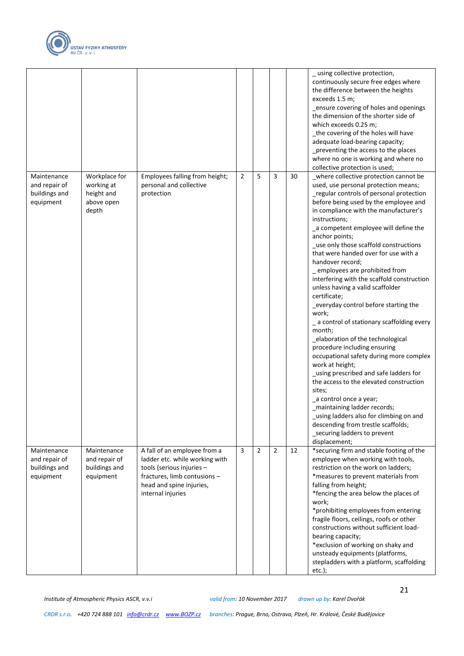

|                                                            |                                                                  |                                                                                                                                                                              |                |                |                |    | using collective protection,<br>continuously secure free edges where<br>the difference between the heights<br>exceeds 1.5 m;<br>_ensure covering of holes and openings<br>the dimension of the shorter side of<br>which exceeds 0.25 m;<br>_the covering of the holes will have<br>adequate load-bearing capacity;<br>_preventing the access to the places<br>where no one is working and where no<br>collective protection is used;                                                                                                                                                                                                                                                                                                                                                                                                                                                                                                                                                                                                                                      |
|------------------------------------------------------------|------------------------------------------------------------------|------------------------------------------------------------------------------------------------------------------------------------------------------------------------------|----------------|----------------|----------------|----|---------------------------------------------------------------------------------------------------------------------------------------------------------------------------------------------------------------------------------------------------------------------------------------------------------------------------------------------------------------------------------------------------------------------------------------------------------------------------------------------------------------------------------------------------------------------------------------------------------------------------------------------------------------------------------------------------------------------------------------------------------------------------------------------------------------------------------------------------------------------------------------------------------------------------------------------------------------------------------------------------------------------------------------------------------------------------|
| Maintenance<br>and repair of<br>buildings and<br>equipment | Workplace for<br>working at<br>height and<br>above open<br>depth | Employees falling from height;<br>personal and collective<br>protection                                                                                                      | $\overline{2}$ | 5              | 3              | 30 | where collective protection cannot be<br>used, use personal protection means;<br>regular controls of personal protection<br>before being used by the employee and<br>in compliance with the manufacturer's<br>instructions;<br>_a competent employee will define the<br>anchor points;<br>_use only those scaffold constructions<br>that were handed over for use with a<br>handover record;<br>_ employees are prohibited from<br>interfering with the scaffold construction<br>unless having a valid scaffolder<br>certificate;<br>_everyday control before starting the<br>work;<br>_ a control of stationary scaffolding every<br>month;<br>_elaboration of the technological<br>procedure including ensuring<br>occupational safety during more complex<br>work at height;<br>_using prescribed and safe ladders for<br>the access to the elevated construction<br>sites;<br>_a control once a year;<br>maintaining ladder records;<br>using ladders also for climbing on and<br>descending from trestle scaffolds;<br>_securing ladders to prevent<br>displacement; |
| Maintenance<br>and repair of<br>buildings and<br>equipment | Maintenance<br>and repair of<br>buildings and<br>equipment       | A fall of an employee from a<br>ladder etc. while working with<br>tools (serious injuries -<br>fractures, limb contusions -<br>head and spine injuries,<br>internal injuries | 3              | $\overline{2}$ | $\overline{2}$ | 12 | *securing firm and stable footing of the<br>employee when working with tools,<br>restriction on the work on ladders;<br>*measures to prevent materials from<br>falling from height;<br>*fencing the area below the places of<br>work;<br>*prohibiting employees from entering<br>fragile floors, ceilings, roofs or other<br>constructions without sufficient load-<br>bearing capacity;<br>*exclusion of working on shaky and<br>unsteady equipments (platforms,<br>stepladders with a platform, scaffolding<br>$etc.$ );                                                                                                                                                                                                                                                                                                                                                                                                                                                                                                                                                |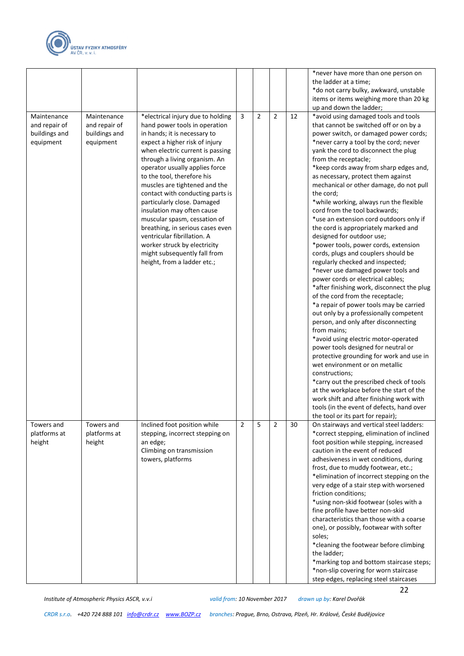

|                                             |                                                            |                                                                                                                                                                                                                                                                                                                                                                                                                                                                                                                                                                                                               |                |                |                |    | *never have more than one person on<br>the ladder at a time;<br>*do not carry bulky, awkward, unstable<br>items or items weighing more than 20 kg                                                                                                                                                                                                                                                                                                                                                                                                                                                                                                                                                                                                                                                                                                                                                                                                                                                                                                                                                                                                                                                                                                                                                                                                                                                      |
|---------------------------------------------|------------------------------------------------------------|---------------------------------------------------------------------------------------------------------------------------------------------------------------------------------------------------------------------------------------------------------------------------------------------------------------------------------------------------------------------------------------------------------------------------------------------------------------------------------------------------------------------------------------------------------------------------------------------------------------|----------------|----------------|----------------|----|--------------------------------------------------------------------------------------------------------------------------------------------------------------------------------------------------------------------------------------------------------------------------------------------------------------------------------------------------------------------------------------------------------------------------------------------------------------------------------------------------------------------------------------------------------------------------------------------------------------------------------------------------------------------------------------------------------------------------------------------------------------------------------------------------------------------------------------------------------------------------------------------------------------------------------------------------------------------------------------------------------------------------------------------------------------------------------------------------------------------------------------------------------------------------------------------------------------------------------------------------------------------------------------------------------------------------------------------------------------------------------------------------------|
| Maintenance                                 |                                                            |                                                                                                                                                                                                                                                                                                                                                                                                                                                                                                                                                                                                               | 3              | $\overline{2}$ | 2              | 12 | up and down the ladder;                                                                                                                                                                                                                                                                                                                                                                                                                                                                                                                                                                                                                                                                                                                                                                                                                                                                                                                                                                                                                                                                                                                                                                                                                                                                                                                                                                                |
| and repair of<br>buildings and<br>equipment | Maintenance<br>and repair of<br>buildings and<br>equipment | *electrical injury due to holding<br>hand power tools in operation<br>in hands; it is necessary to<br>expect a higher risk of injury<br>when electric current is passing<br>through a living organism. An<br>operator usually applies force<br>to the tool, therefore his<br>muscles are tightened and the<br>contact with conducting parts is<br>particularly close. Damaged<br>insulation may often cause<br>muscular spasm, cessation of<br>breathing, in serious cases even<br>ventricular fibrillation. A<br>worker struck by electricity<br>might subsequently fall from<br>height, from a ladder etc.; |                |                |                |    | *avoid using damaged tools and tools<br>that cannot be switched off or on by a<br>power switch, or damaged power cords;<br>*never carry a tool by the cord; never<br>yank the cord to disconnect the plug<br>from the receptacle;<br>*keep cords away from sharp edges and,<br>as necessary, protect them against<br>mechanical or other damage, do not pull<br>the cord;<br>*while working, always run the flexible<br>cord from the tool backwards;<br>*use an extension cord outdoors only if<br>the cord is appropriately marked and<br>designed for outdoor use;<br>*power tools, power cords, extension<br>cords, plugs and couplers should be<br>regularly checked and inspected;<br>*never use damaged power tools and<br>power cords or electrical cables;<br>*after finishing work, disconnect the plug<br>of the cord from the receptacle;<br>*a repair of power tools may be carried<br>out only by a professionally competent<br>person, and only after disconnecting<br>from mains;<br>*avoid using electric motor-operated<br>power tools designed for neutral or<br>protective grounding for work and use in<br>wet environment or on metallic<br>constructions;<br>*carry out the prescribed check of tools<br>at the workplace before the start of the<br>work shift and after finishing work with<br>tools (in the event of defects, hand over<br>the tool or its part for repair); |
| Towers and<br>platforms at<br>height        | Towers and<br>platforms at<br>height                       | Inclined foot position while<br>stepping, incorrect stepping on<br>an edge;<br>Climbing on transmission<br>towers, platforms                                                                                                                                                                                                                                                                                                                                                                                                                                                                                  | $\overline{2}$ | 5              | $\overline{2}$ | 30 | On stairways and vertical steel ladders:<br>*correct stepping, elimination of inclined<br>foot position while stepping, increased<br>caution in the event of reduced<br>adhesiveness in wet conditions, during<br>frost, due to muddy footwear, etc.;<br>*elimination of incorrect stepping on the<br>very edge of a stair step with worsened<br>friction conditions;<br>*using non-skid footwear (soles with a<br>fine profile have better non-skid<br>characteristics than those with a coarse<br>one), or possibly, footwear with softer<br>soles;<br>*cleaning the footwear before climbing<br>the ladder;<br>*marking top and bottom staircase steps;<br>*non-slip covering for worn staircase<br>step edges, replacing steel staircases                                                                                                                                                                                                                                                                                                                                                                                                                                                                                                                                                                                                                                                          |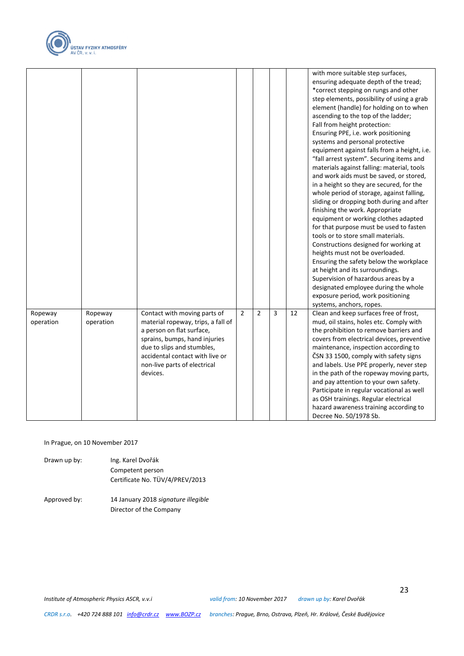

|                      |                      |                                                                                                                                                                                                                                               |                |                |   |    | with more suitable step surfaces,<br>ensuring adequate depth of the tread;<br>*correct stepping on rungs and other<br>step elements, possibility of using a grab<br>element (handle) for holding on to when<br>ascending to the top of the ladder;<br>Fall from height protection:<br>Ensuring PPE, i.e. work positioning<br>systems and personal protective<br>equipment against falls from a height, i.e.<br>"fall arrest system". Securing items and<br>materials against falling: material, tools<br>and work aids must be saved, or stored,<br>in a height so they are secured, for the<br>whole period of storage, against falling,<br>sliding or dropping both during and after<br>finishing the work. Appropriate<br>equipment or working clothes adapted<br>for that purpose must be used to fasten<br>tools or to store small materials.<br>Constructions designed for working at<br>heights must not be overloaded.<br>Ensuring the safety below the workplace<br>at height and its surroundings.<br>Supervision of hazardous areas by a<br>designated employee during the whole<br>exposure period, work positioning<br>systems, anchors, ropes. |
|----------------------|----------------------|-----------------------------------------------------------------------------------------------------------------------------------------------------------------------------------------------------------------------------------------------|----------------|----------------|---|----|--------------------------------------------------------------------------------------------------------------------------------------------------------------------------------------------------------------------------------------------------------------------------------------------------------------------------------------------------------------------------------------------------------------------------------------------------------------------------------------------------------------------------------------------------------------------------------------------------------------------------------------------------------------------------------------------------------------------------------------------------------------------------------------------------------------------------------------------------------------------------------------------------------------------------------------------------------------------------------------------------------------------------------------------------------------------------------------------------------------------------------------------------------------|
| Ropeway<br>operation | Ropeway<br>operation | Contact with moving parts of<br>material ropeway, trips, a fall of<br>a person on flat surface,<br>sprains, bumps, hand injuries<br>due to slips and stumbles,<br>accidental contact with live or<br>non-live parts of electrical<br>devices. | $\overline{2}$ | $\overline{2}$ | 3 | 12 | Clean and keep surfaces free of frost,<br>mud, oil stains, holes etc. Comply with<br>the prohibition to remove barriers and<br>covers from electrical devices, preventive<br>maintenance, inspection according to<br>ČSN 33 1500, comply with safety signs<br>and labels. Use PPE properly, never step<br>in the path of the ropeway moving parts,<br>and pay attention to your own safety.<br>Participate in regular vocational as well<br>as OSH trainings. Regular electrical<br>hazard awareness training according to<br>Decree No. 50/1978 Sb.                                                                                                                                                                                                                                                                                                                                                                                                                                                                                                                                                                                                         |

In Prague, on 10 November 2017

- Drawn up by: Ing. Karel Dvořák Competent person Certificate No. TÜV/4/PREV/2013
- Approved by: 14 January 2018 *signature illegible* Director of the Company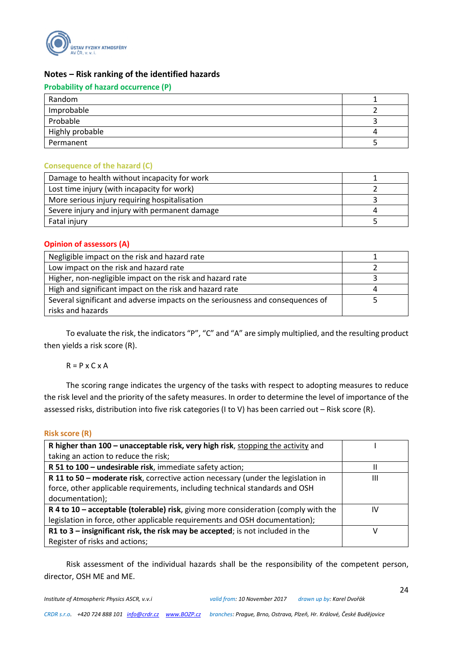

#### **Notes – Risk ranking of the identified hazards**

#### **Probability of hazard occurrence (P)**

| Random          |  |
|-----------------|--|
| Improbable      |  |
| Probable        |  |
| Highly probable |  |
| Permanent       |  |

#### **Consequence of the hazard (C)**

| Damage to health without incapacity for work   |  |
|------------------------------------------------|--|
| Lost time injury (with incapacity for work)    |  |
| More serious injury requiring hospitalisation  |  |
| Severe injury and injury with permanent damage |  |
| Fatal injury                                   |  |

#### **Opinion of assessors (A)**

| Negligible impact on the risk and hazard rate                                  |   |
|--------------------------------------------------------------------------------|---|
| Low impact on the risk and hazard rate                                         |   |
| Higher, non-negligible impact on the risk and hazard rate                      |   |
| High and significant impact on the risk and hazard rate                        | 4 |
| Several significant and adverse impacts on the seriousness and consequences of |   |
| risks and hazards                                                              |   |

To evaluate the risk, the indicators "P", "C" and "A" are simply multiplied, and the resulting product then yields a risk score (R).

 $R = P \times C \times A$ 

The scoring range indicates the urgency of the tasks with respect to adopting measures to reduce the risk level and the priority of the safety measures. In order to determine the level of importance of the assessed risks, distribution into five risk categories (I to V) has been carried out – Risk score (R).

#### **Risk score (R)**

| R higher than 100 - unacceptable risk, very high risk, stopping the activity and    |    |
|-------------------------------------------------------------------------------------|----|
| taking an action to reduce the risk;                                                |    |
| R 51 to 100 - undesirable risk, immediate safety action;                            |    |
| R 11 to 50 - moderate risk, corrective action necessary (under the legislation in   | Ш  |
| force, other applicable requirements, including technical standards and OSH         |    |
| documentation);                                                                     |    |
| R 4 to 10 – acceptable (tolerable) risk, giving more consideration (comply with the | IV |
| legislation in force, other applicable requirements and OSH documentation);         |    |
| R1 to 3 - insignificant risk, the risk may be accepted; is not included in the      | v  |
| Register of risks and actions;                                                      |    |

Risk assessment of the individual hazards shall be the responsibility of the competent person, director, OSH ME and ME.